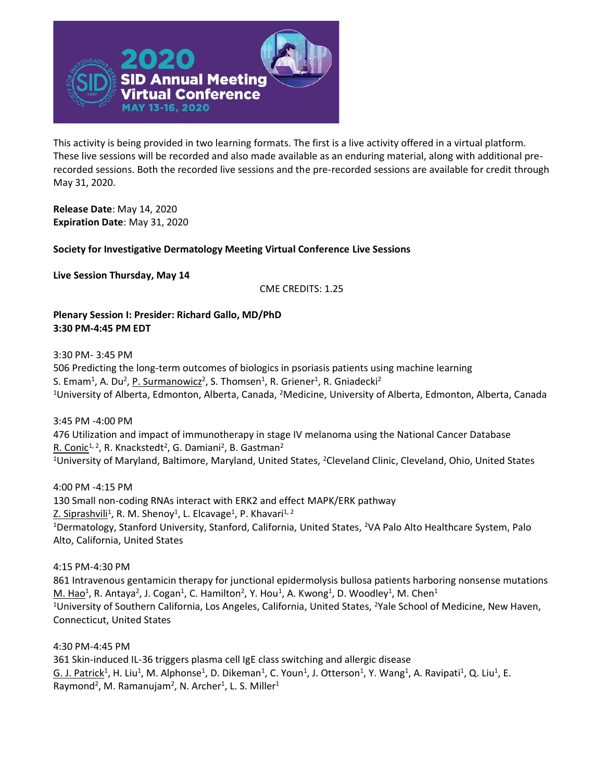

This activity is being provided in two learning formats. The first is a live activity offered in a virtual platform. These live sessions will be recorded and also made available as an enduring material, along with additional prerecorded sessions. Both the recorded live sessions and the pre-recorded sessions are available for credit through May 31, 2020.

**Release Date**: May 14, 2020 **Expiration Date**: May 31, 2020

**Society for Investigative Dermatology Meeting Virtual Conference Live Sessions**

**Live Session Thursday, May 14**

CME CREDITS: 1.25

**Plenary Session I: Presider: Richard Gallo, MD/PhD 3:30 PM-4:45 PM EDT**

3:30 PM- 3:45 PM

506 Predicting the long-term outcomes of biologics in psoriasis patients using machine learning S. Emam<sup>1</sup>, A. Du<sup>2</sup>, P. Surmanowicz<sup>2</sup>, S. Thomsen<sup>1</sup>, R. Griener<sup>1</sup>, R. Gniadecki<sup>2</sup> <sup>1</sup>University of Alberta, Edmonton, Alberta, Canada, <sup>2</sup>Medicine, University of Alberta, Edmonton, Alberta, Canada

3:45 PM -4:00 PM

476 Utilization and impact of immunotherapy in stage IV melanoma using the National Cancer Database R. Conic<sup>1, 2</sup>, R. Knackstedt<sup>2</sup>, G. Damiani<sup>2</sup>, B. Gastman<sup>2</sup> <sup>1</sup>University of Maryland, Baltimore, Maryland, United States, <sup>2</sup>Cleveland Clinic, Cleveland, Ohio, United States

4:00 PM -4:15 PM 130 Small non-coding RNAs interact with ERK2 and effect MAPK/ERK pathway Z. Siprashvili<sup>1</sup>, R. M. Shenoy<sup>1</sup>, L. Elcavage<sup>1</sup>, P. Khavari<sup>1, 2</sup> <sup>1</sup>Dermatology, Stanford University, Stanford, California, United States, <sup>2</sup>VA Palo Alto Healthcare System, Palo Alto, California, United States

4:15 PM-4:30 PM

861 Intravenous gentamicin therapy for junctional epidermolysis bullosa patients harboring nonsense mutations  $M.$  Hao<sup>1</sup>, R. Antaya<sup>2</sup>, J. Cogan<sup>1</sup>, C. Hamilton<sup>2</sup>, Y. Hou<sup>1</sup>, A. Kwong<sup>1</sup>, D. Woodley<sup>1</sup>, M. Chen<sup>1</sup> <sup>1</sup>University of Southern California, Los Angeles, California, United States, <sup>2</sup>Yale School of Medicine, New Haven, Connecticut, United States

4:30 PM-4:45 PM

361 Skin-induced IL-36 triggers plasma cell IgE class switching and allergic disease G. J. Patrick<sup>1</sup>, H. Liu<sup>1</sup>, M. Alphonse<sup>1</sup>, D. Dikeman<sup>1</sup>, C. Youn<sup>1</sup>, J. Otterson<sup>1</sup>, Y. Wang<sup>1</sup>, A. Ravipati<sup>1</sup>, Q. Liu<sup>1</sup>, E. Raymond<sup>2</sup>, M. Ramanujam<sup>2</sup>, N. Archer<sup>1</sup>, L. S. Miller<sup>1</sup>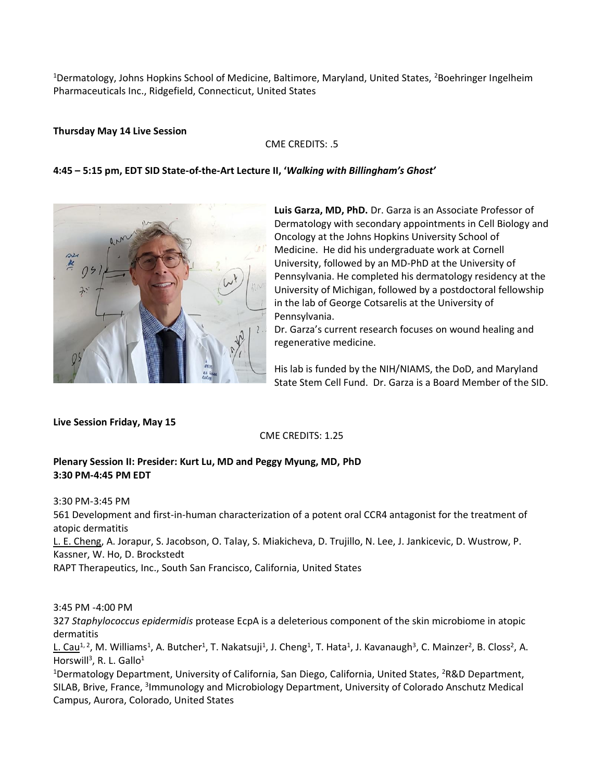<sup>1</sup>Dermatology, Johns Hopkins School of Medicine, Baltimore, Maryland, United States, <sup>2</sup>Boehringer Ingelheim Pharmaceuticals Inc., Ridgefield, Connecticut, United States

### **Thursday May 14 Live Session**

### CME CREDITS: .5

### **4:45 – 5:15 pm, EDT SID State-of-the-Art Lecture II, '***Walking with Billingham's Ghost'*



**Luis Garza, MD, PhD.** Dr. Garza is an Associate Professor of Dermatology with secondary appointments in Cell Biology and Oncology at the Johns Hopkins University School of Medicine. He did his undergraduate work at Cornell University, followed by an MD-PhD at the University of Pennsylvania. He completed his dermatology residency at the University of Michigan, followed by a postdoctoral fellowship in the lab of George Cotsarelis at the University of Pennsylvania.

Dr. Garza's current research focuses on wound healing and regenerative medicine.

His lab is funded by the NIH/NIAMS, the DoD, and Maryland State Stem Cell Fund. Dr. Garza is a Board Member of the SID.

**Live Session Friday, May 15**

## CME CREDITS: 1.25

## **Plenary Session II: Presider: Kurt Lu, MD and Peggy Myung, MD, PhD 3:30 PM-4:45 PM EDT**

3:30 PM-3:45 PM 561 Development and first-in-human characterization of a potent oral CCR4 antagonist for the treatment of atopic dermatitis L. E. Cheng, A. Jorapur, S. Jacobson, O. Talay, S. Miakicheva, D. Trujillo, N. Lee, J. Jankicevic, D. Wustrow, P. Kassner, W. Ho, D. Brockstedt RAPT Therapeutics, Inc., South San Francisco, California, United States

3:45 PM -4:00 PM

327 *Staphylococcus epidermidis* protease EcpA is a deleterious component of the skin microbiome in atopic dermatitis

L. Cau<sup>1, 2</sup>, M. Williams<sup>1</sup>, A. Butcher<sup>1</sup>, T. Nakatsuji<sup>1</sup>, J. Cheng<sup>1</sup>, T. Hata<sup>1</sup>, J. Kavanaugh<sup>3</sup>, C. Mainzer<sup>2</sup>, B. Closs<sup>2</sup>, A. Horswill<sup>3</sup>, R. L. Gallo<sup>1</sup>

<sup>1</sup>Dermatology Department, University of California, San Diego, California, United States, <sup>2</sup>R&D Department, SILAB, Brive, France, <sup>3</sup>Immunology and Microbiology Department, University of Colorado Anschutz Medical Campus, Aurora, Colorado, United States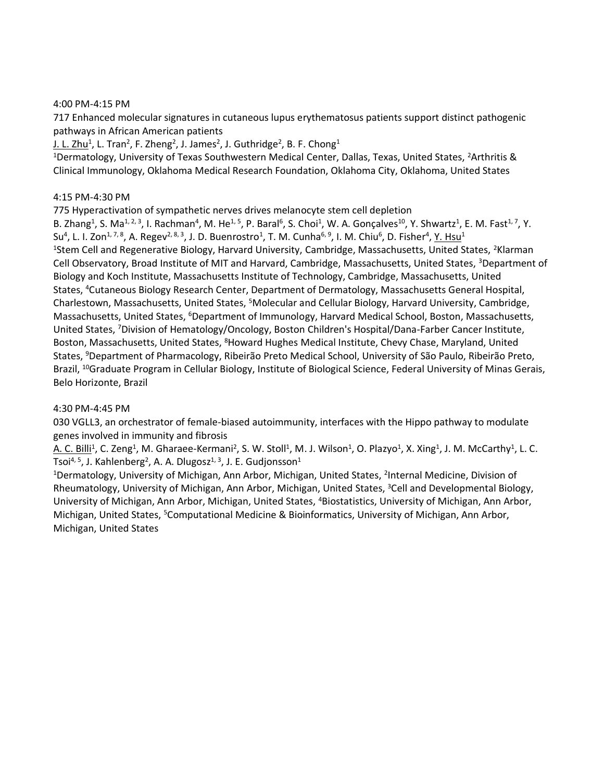### 4:00 PM-4:15 PM

717 Enhanced molecular signatures in cutaneous lupus erythematosus patients support distinct pathogenic pathways in African American patients

<u>J. L. Zhu</u><sup>1</sup>, L. Tran<sup>2</sup>, F. Zheng<sup>2</sup>, J. James<sup>2</sup>, J. Guthridge<sup>2</sup>, B. F. Chong<sup>1</sup>

<sup>1</sup>Dermatology, University of Texas Southwestern Medical Center, Dallas, Texas, United States, <sup>2</sup>Arthritis & Clinical Immunology, Oklahoma Medical Research Foundation, Oklahoma City, Oklahoma, United States

## 4:15 PM-4:30 PM

775 Hyperactivation of sympathetic nerves drives melanocyte stem cell depletion

B. Zhang<sup>1</sup>, S. Ma<sup>1, 2, 3</sup>, I. Rachman<sup>4</sup>, M. He<sup>1, 5</sup>, P. Baral<sup>6</sup>, S. Choi<sup>1</sup>, W. A. Gonçalves<sup>10</sup>, Y. Shwartz<sup>1</sup>, E. M. Fast<sup>1, 7</sup>, Y. Su<sup>4</sup>, L. I. Zon<sup>1, 7, 8</sup>, A. Regev<sup>2, 8, 3</sup>, J. D. Buenrostro<sup>1</sup>, T. M. Cunha<sup>6, 9</sup>, I. M. Chiu<sup>6</sup>, D. Fisher<sup>4</sup>, <u>Y. Hsu</u><sup>1</sup> <sup>1</sup>Stem Cell and Regenerative Biology, Harvard University, Cambridge, Massachusetts, United States, <sup>2</sup>Klarman Cell Observatory, Broad Institute of MIT and Harvard, Cambridge, Massachusetts, United States, <sup>3</sup>Department of Biology and Koch Institute, Massachusetts Institute of Technology, Cambridge, Massachusetts, United States, <sup>4</sup>Cutaneous Biology Research Center, Department of Dermatology, Massachusetts General Hospital, Charlestown, Massachusetts, United States, <sup>5</sup>Molecular and Cellular Biology, Harvard University, Cambridge, Massachusetts, United States, <sup>6</sup>Department of Immunology, Harvard Medical School, Boston, Massachusetts, United States, <sup>7</sup>Division of Hematology/Oncology, Boston Children's Hospital/Dana-Farber Cancer Institute, Boston, Massachusetts, United States, <sup>8</sup>Howard Hughes Medical Institute, Chevy Chase, Maryland, United States, <sup>9</sup>Department of Pharmacology, Ribeirão Preto Medical School, University of São Paulo, Ribeirão Preto, Brazil, <sup>10</sup>Graduate Program in Cellular Biology, Institute of Biological Science, Federal University of Minas Gerais, Belo Horizonte, Brazil

## 4:30 PM-4:45 PM

030 VGLL3, an orchestrator of female-biased autoimmunity, interfaces with the Hippo pathway to modulate genes involved in immunity and fibrosis

A. C. Billi<sup>1</sup>, C. Zeng<sup>1</sup>, M. Gharaee-Kermani<sup>2</sup>, S. W. Stoll<sup>1</sup>, M. J. Wilson<sup>1</sup>, O. Plazyo<sup>1</sup>, X. Xing<sup>1</sup>, J. M. McCarthy<sup>1</sup>, L. C. Tsoi<sup>4, 5</sup>, J. Kahlenberg<sup>2</sup>, A. A. Dlugosz<sup>1, 3</sup>, J. E. Gudjonsson<sup>1</sup>

<sup>1</sup>Dermatology, University of Michigan, Ann Arbor, Michigan, United States, <sup>2</sup>Internal Medicine, Division of Rheumatology, University of Michigan, Ann Arbor, Michigan, United States, <sup>3</sup>Cell and Developmental Biology, University of Michigan, Ann Arbor, Michigan, United States, <sup>4</sup>Biostatistics, University of Michigan, Ann Arbor, Michigan, United States, <sup>5</sup>Computational Medicine & Bioinformatics, University of Michigan, Ann Arbor, Michigan, United States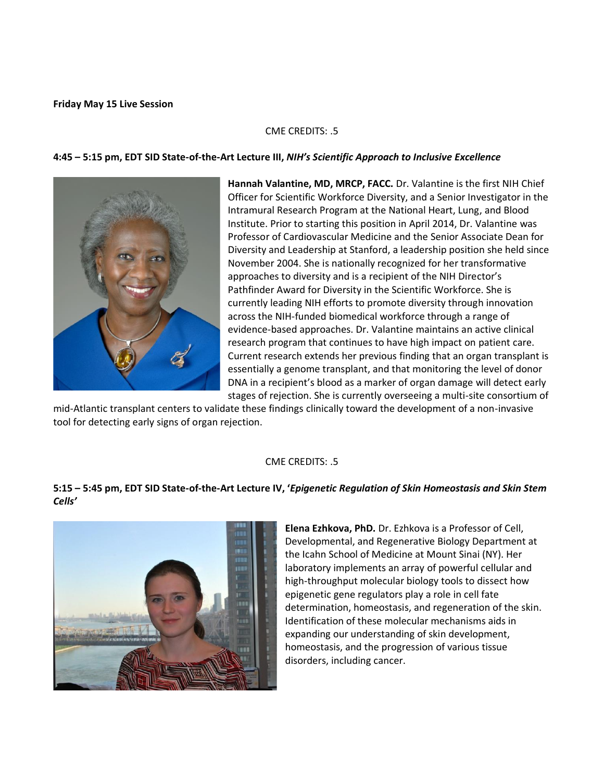### **Friday May 15 Live Session**

## CME CREDITS: .5

### **4:45 – 5:15 pm, EDT SID State-of-the-Art Lecture III,** *NIH's Scientific Approach to Inclusive Excellence*



**Hannah Valantine, MD, MRCP, FACC.** Dr. Valantine is the first NIH Chief Officer for Scientific Workforce Diversity, and a Senior Investigator in the Intramural Research Program at the National Heart, Lung, and Blood Institute. Prior to starting this position in April 2014, Dr. Valantine was Professor of Cardiovascular Medicine and the Senior Associate Dean for Diversity and Leadership at Stanford, a leadership position she held since November 2004. She is nationally recognized for her transformative approaches to diversity and is a recipient of the NIH Director's Pathfinder Award for Diversity in the Scientific Workforce. She is currently leading NIH efforts to promote diversity through innovation across the NIH-funded biomedical workforce through a range of evidence-based approaches. Dr. Valantine maintains an active clinical research program that continues to have high impact on patient care. Current research extends her previous finding that an organ transplant is essentially a genome transplant, and that monitoring the level of donor DNA in a recipient's blood as a marker of organ damage will detect early stages of rejection. She is currently overseeing a multi-site consortium of

mid-Atlantic transplant centers to validate these findings clinically toward the development of a non-invasive tool for detecting early signs of organ rejection.

## CME CREDITS: .5

# **5:15 – 5:45 pm, EDT SID State-of-the-Art Lecture IV, '***Epigenetic Regulation of Skin Homeostasis and Skin Stem Cells'*



**Elena Ezhkova, PhD.** Dr. Ezhkova is a Professor of Cell, Developmental, and Regenerative Biology Department at the Icahn School of Medicine at Mount Sinai (NY). Her laboratory implements an array of powerful cellular and high-throughput molecular biology tools to dissect how epigenetic gene regulators play a role in cell fate determination, homeostasis, and regeneration of the skin. Identification of these molecular mechanisms aids in expanding our understanding of skin development, homeostasis, and the progression of various tissue disorders, including cancer.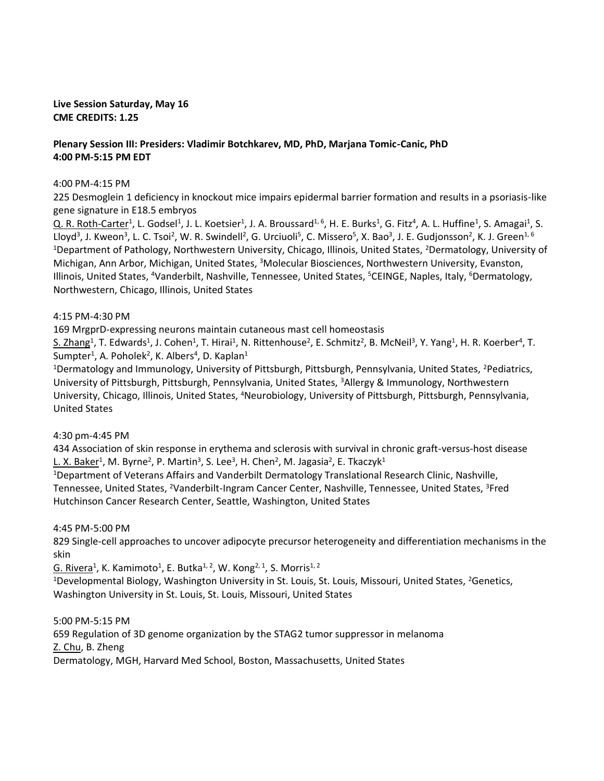## **Live Session Saturday, May 16 CME CREDITS: 1.25**

# **Plenary Session III: Presiders: Vladimir Botchkarev, MD, PhD, Marjana Tomic-Canic, PhD 4:00 PM-5:15 PM EDT**

### 4:00 PM-4:15 PM

225 Desmoglein 1 deficiency in knockout mice impairs epidermal barrier formation and results in a psoriasis-like gene signature in E18.5 embryos

Q. R. Roth-Carter<sup>1</sup>, L. Godsel<sup>1</sup>, J. L. Koetsier<sup>1</sup>, J. A. Broussard<sup>1, 6</sup>, H. E. Burks<sup>1</sup>, G. Fitz<sup>4</sup>, A. L. Huffine<sup>1</sup>, S. Amagai<sup>1</sup>, S. Lloyd<sup>3</sup>, J. Kweon<sup>3</sup>, L. C. Tsoi<sup>2</sup>, W. R. Swindell<sup>2</sup>, G. Urciuoli<sup>5</sup>, C. Missero<sup>5</sup>, X. Bao<sup>3</sup>, J. E. Gudjonsson<sup>2</sup>, K. J. Green<sup>1, 6</sup> <sup>1</sup>Department of Pathology, Northwestern University, Chicago, Illinois, United States, <sup>2</sup>Dermatology, University of Michigan, Ann Arbor, Michigan, United States, <sup>3</sup>Molecular Biosciences, Northwestern University, Evanston, Illinois, United States, <sup>4</sup>Vanderbilt, Nashville, Tennessee, United States, <sup>5</sup>CEINGE, Naples, Italy, <sup>6</sup>Dermatology, Northwestern, Chicago, Illinois, United States

### 4:15 PM-4:30 PM

169 MrgprD-expressing neurons maintain cutaneous mast cell homeostasis

S. Zhang<sup>1</sup>, T. Edwards<sup>1</sup>, J. Cohen<sup>1</sup>, T. Hirai<sup>1</sup>, N. Rittenhouse<sup>2</sup>, E. Schmitz<sup>2</sup>, B. McNeil<sup>3</sup>, Y. Yang<sup>1</sup>, H. R. Koerber<sup>4</sup>, T. Sumpter<sup>1</sup>, A. Poholek<sup>2</sup>, K. Albers<sup>4</sup>, D. Kaplan<sup>1</sup>

<sup>1</sup>Dermatology and Immunology, University of Pittsburgh, Pittsburgh, Pennsylvania, United States, <sup>2</sup>Pediatrics, University of Pittsburgh, Pittsburgh, Pennsylvania, United States, <sup>3</sup>Allergy & Immunology, Northwestern University, Chicago, Illinois, United States, <sup>4</sup>Neurobiology, University of Pittsburgh, Pittsburgh, Pennsylvania, United States

## 4:30 pm-4:45 PM

434 Association of skin response in erythema and sclerosis with survival in chronic graft-versus-host disease L. X. Baker<sup>1</sup>, M. Byrne<sup>2</sup>, P. Martin<sup>3</sup>, S. Lee<sup>3</sup>, H. Chen<sup>2</sup>, M. Jagasia<sup>2</sup>, E. Tkaczyk<sup>1</sup>

<sup>1</sup>Department of Veterans Affairs and Vanderbilt Dermatology Translational Research Clinic, Nashville, Tennessee, United States, <sup>2</sup>Vanderbilt-Ingram Cancer Center, Nashville, Tennessee, United States, <sup>3</sup>Fred Hutchinson Cancer Research Center, Seattle, Washington, United States

## 4:45 PM-5:00 PM

829 Single-cell approaches to uncover adipocyte precursor heterogeneity and differentiation mechanisms in the skin

 $G.$  Rivera<sup>1</sup>, K. Kamimoto<sup>1</sup>, E. Butka<sup>1, 2</sup>, W. Kong<sup>2, 1</sup>, S. Morris<sup>1, 2</sup>

<sup>1</sup>Developmental Biology, Washington University in St. Louis, St. Louis, Missouri, United States, <sup>2</sup>Genetics, Washington University in St. Louis, St. Louis, Missouri, United States

## 5:00 PM-5:15 PM

659 Regulation of 3D genome organization by the STAG2 tumor suppressor in melanoma Z. Chu, B. Zheng Dermatology, MGH, Harvard Med School, Boston, Massachusetts, United States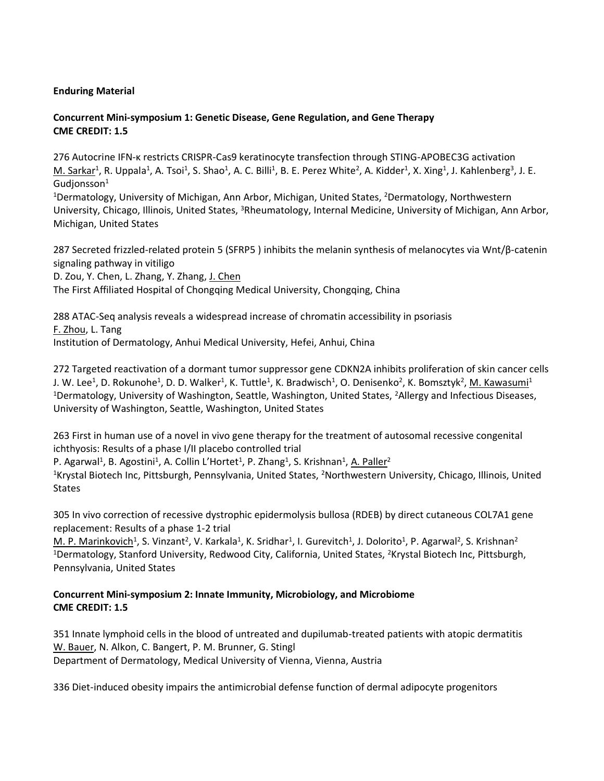# **Enduring Material**

# **Concurrent Mini-symposium 1: Genetic Disease, Gene Regulation, and Gene Therapy CME CREDIT: 1.5**

276 Autocrine IFN-κ restricts CRISPR-Cas9 keratinocyte transfection through STING-APOBEC3G activation M. Sarkar<sup>1</sup>, R. Uppala<sup>1</sup>, A. Tsoi<sup>1</sup>, S. Shao<sup>1</sup>, A. C. Billi<sup>1</sup>, B. E. Perez White<sup>2</sup>, A. Kidder<sup>1</sup>, X. Xing<sup>1</sup>, J. Kahlenberg<sup>3</sup>, J. E.  $G$ udjonsson $1$ 

<sup>1</sup>Dermatology, University of Michigan, Ann Arbor, Michigan, United States, <sup>2</sup>Dermatology, Northwestern University, Chicago, Illinois, United States, <sup>3</sup>Rheumatology, Internal Medicine, University of Michigan, Ann Arbor, Michigan, United States

287 Secreted frizzled-related protein 5 (SFRP5 ) inhibits the melanin synthesis of melanocytes via Wnt/β-catenin signaling pathway in vitiligo

D. Zou, Y. Chen, L. Zhang, Y. Zhang, J. Chen

The First Affiliated Hospital of Chongqing Medical University, Chongqing, China

288 ATAC-Seq analysis reveals a widespread increase of chromatin accessibility in psoriasis F. Zhou, L. Tang Institution of Dermatology, Anhui Medical University, Hefei, Anhui, China

272 Targeted reactivation of a dormant tumor suppressor gene CDKN2A inhibits proliferation of skin cancer cells J. W. Lee<sup>1</sup>, D. Rokunohe<sup>1</sup>, D. D. Walker<sup>1</sup>, K. Tuttle<sup>1</sup>, K. Bradwisch<sup>1</sup>, O. Denisenko<sup>2</sup>, K. Bomsztyk<sup>2</sup>, <u>M. Kawasumi</u><sup>1</sup> <sup>1</sup>Dermatology, University of Washington, Seattle, Washington, United States, <sup>2</sup>Allergy and Infectious Diseases, University of Washington, Seattle, Washington, United States

263 First in human use of a novel in vivo gene therapy for the treatment of autosomal recessive congenital ichthyosis: Results of a phase I/II placebo controlled trial

P. Agarwal<sup>1</sup>, B. Agostini<sup>1</sup>, A. Collin L'Hortet<sup>1</sup>, P. Zhang<sup>1</sup>, S. Krishnan<sup>1</sup>, <u>A. Paller</u><sup>2</sup>

<sup>1</sup>Krystal Biotech Inc, Pittsburgh, Pennsylvania, United States, <sup>2</sup>Northwestern University, Chicago, Illinois, United States

305 In vivo correction of recessive dystrophic epidermolysis bullosa (RDEB) by direct cutaneous COL7A1 gene replacement: Results of a phase 1-2 trial

M. P. Marinkovich<sup>1</sup>, S. Vinzant<sup>2</sup>, V. Karkala<sup>1</sup>, K. Sridhar<sup>1</sup>, I. Gurevitch<sup>1</sup>, J. Dolorito<sup>1</sup>, P. Agarwal<sup>2</sup>, S. Krishnan<sup>2</sup> <sup>1</sup>Dermatology, Stanford University, Redwood City, California, United States, <sup>2</sup>Krystal Biotech Inc, Pittsburgh, Pennsylvania, United States

## **Concurrent Mini-symposium 2: Innate Immunity, Microbiology, and Microbiome CME CREDIT: 1.5**

351 Innate lymphoid cells in the blood of untreated and dupilumab-treated patients with atopic dermatitis W. Bauer, N. Alkon, C. Bangert, P. M. Brunner, G. Stingl Department of Dermatology, Medical University of Vienna, Vienna, Austria

336 Diet-induced obesity impairs the antimicrobial defense function of dermal adipocyte progenitors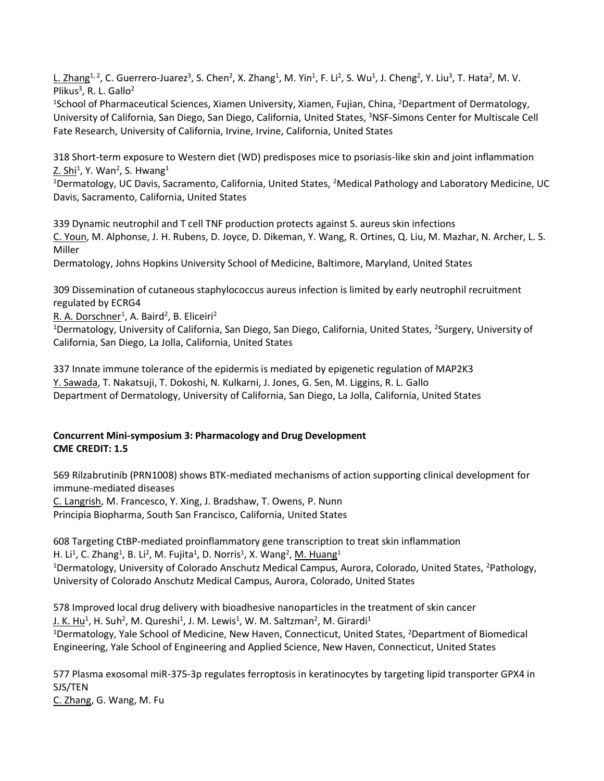L. Zhang<sup>1, 2</sup>, C. Guerrero-Juarez<sup>3</sup>, S. Chen<sup>2</sup>, X. Zhang<sup>1</sup>, M. Yin<sup>1</sup>, F. Li<sup>2</sup>, S. Wu<sup>1</sup>, J. Cheng<sup>2</sup>, Y. Liu<sup>3</sup>, T. Hata<sup>2</sup>, M. V. Plikus<sup>3</sup>, R. L. Gallo<sup>2</sup>

<sup>1</sup>School of Pharmaceutical Sciences, Xiamen University, Xiamen, Fujian, China, <sup>2</sup>Department of Dermatology, University of California, San Diego, San Diego, California, United States, <sup>3</sup>NSF-Simons Center for Multiscale Cell Fate Research, University of California, Irvine, Irvine, California, United States

318 Short-term exposure to Western diet (WD) predisposes mice to psoriasis-like skin and joint inflammation Z. Shi<sup>1</sup>, Y. Wan<sup>2</sup>, S. Hwang<sup>1</sup>

<sup>1</sup>Dermatology, UC Davis, Sacramento, California, United States, <sup>2</sup>Medical Pathology and Laboratory Medicine, UC Davis, Sacramento, California, United States

339 Dynamic neutrophil and T cell TNF production protects against S. aureus skin infections C. Youn, M. Alphonse, J. H. Rubens, D. Joyce, D. Dikeman, Y. Wang, R. Ortines, Q. Liu, M. Mazhar, N. Archer, L. S. Miller

Dermatology, Johns Hopkins University School of Medicine, Baltimore, Maryland, United States

309 Dissemination of cutaneous staphylococcus aureus infection is limited by early neutrophil recruitment regulated by ECRG4

R. A. Dorschner<sup>1</sup>, A. Baird<sup>2</sup>, B. Eliceiri<sup>2</sup>

<sup>1</sup>Dermatology, University of California, San Diego, San Diego, California, United States, <sup>2</sup>Surgery, University of California, San Diego, La Jolla, California, United States

337 Innate immune tolerance of the epidermis is mediated by epigenetic regulation of MAP2K3 Y. Sawada, T. Nakatsuji, T. Dokoshi, N. Kulkarni, J. Jones, G. Sen, M. Liggins, R. L. Gallo Department of Dermatology, University of California, San Diego, La Jolla, California, United States

# **Concurrent Mini-symposium 3: Pharmacology and Drug Development CME CREDIT: 1.5**

569 Rilzabrutinib (PRN1008) shows BTK-mediated mechanisms of action supporting clinical development for immune-mediated diseases

C. Langrish, M. Francesco, Y. Xing, J. Bradshaw, T. Owens, P. Nunn Principia Biopharma, South San Francisco, California, United States

608 Targeting CtBP-mediated proinflammatory gene transcription to treat skin inflammation H. Li<sup>1</sup>, C. Zhang<sup>1</sup>, B. Li<sup>2</sup>, M. Fujita<sup>1</sup>, D. Norris<sup>1</sup>, X. Wang<sup>2</sup>, <u>M. Huang</u><sup>1</sup> <sup>1</sup>Dermatology, University of Colorado Anschutz Medical Campus, Aurora, Colorado, United States, <sup>2</sup>Pathology, University of Colorado Anschutz Medical Campus, Aurora, Colorado, United States

578 Improved local drug delivery with bioadhesive nanoparticles in the treatment of skin cancer <u>J. K. Hu</u><sup>1</sup>, H. Suh<sup>2</sup>, M. Qureshi<sup>1</sup>, J. M. Lewis<sup>1</sup>, W. M. Saltzman<sup>2</sup>, M. Girardi<sup>1</sup> <sup>1</sup>Dermatology, Yale School of Medicine, New Haven, Connecticut, United States, <sup>2</sup>Department of Biomedical Engineering, Yale School of Engineering and Applied Science, New Haven, Connecticut, United States

577 Plasma exosomal miR-375-3p regulates ferroptosis in keratinocytes by targeting lipid transporter GPX4 in SJS/TEN C. Zhang, G. Wang, M. Fu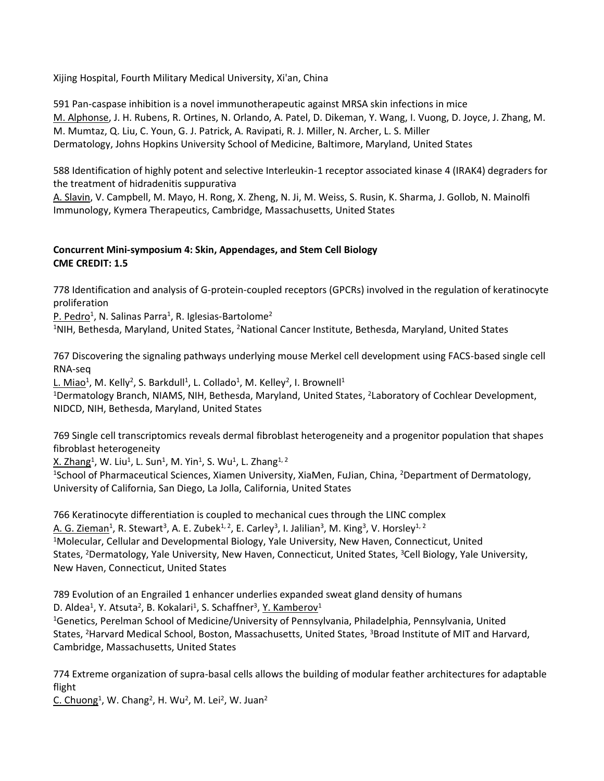Xijing Hospital, Fourth Military Medical University, Xi'an, China

591 Pan-caspase inhibition is a novel immunotherapeutic against MRSA skin infections in mice M. Alphonse, J. H. Rubens, R. Ortines, N. Orlando, A. Patel, D. Dikeman, Y. Wang, I. Vuong, D. Joyce, J. Zhang, M. M. Mumtaz, Q. Liu, C. Youn, G. J. Patrick, A. Ravipati, R. J. Miller, N. Archer, L. S. Miller Dermatology, Johns Hopkins University School of Medicine, Baltimore, Maryland, United States

588 Identification of highly potent and selective Interleukin-1 receptor associated kinase 4 (IRAK4) degraders for the treatment of hidradenitis suppurativa

A. Slavin, V. Campbell, M. Mayo, H. Rong, X. Zheng, N. Ji, M. Weiss, S. Rusin, K. Sharma, J. Gollob, N. Mainolfi Immunology, Kymera Therapeutics, Cambridge, Massachusetts, United States

# **Concurrent Mini-symposium 4: Skin, Appendages, and Stem Cell Biology CME CREDIT: 1.5**

778 Identification and analysis of G-protein-coupled receptors (GPCRs) involved in the regulation of keratinocyte proliferation

P. Pedro<sup>1</sup>, N. Salinas Parra<sup>1</sup>, R. Iglesias-Bartolome<sup>2</sup>

<sup>1</sup>NIH, Bethesda, Maryland, United States, <sup>2</sup>National Cancer Institute, Bethesda, Maryland, United States

767 Discovering the signaling pathways underlying mouse Merkel cell development using FACS-based single cell RNA-seq

 $L$ . Miao<sup>1</sup>, M. Kelly<sup>2</sup>, S. Barkdull<sup>1</sup>, L. Collado<sup>1</sup>, M. Kelley<sup>2</sup>, I. Brownell<sup>1</sup>

<sup>1</sup>Dermatology Branch, NIAMS, NIH, Bethesda, Maryland, United States, <sup>2</sup>Laboratory of Cochlear Development, NIDCD, NIH, Bethesda, Maryland, United States

769 Single cell transcriptomics reveals dermal fibroblast heterogeneity and a progenitor population that shapes fibroblast heterogeneity

 $\times$ . Zhang $^1$ , W. Liu $^1$ , L. Sun $^1$ , M. Yin $^1$ , S. Wu $^1$ , L. Zhang $^{1,\,2}$ 

<sup>1</sup>School of Pharmaceutical Sciences, Xiamen University, XiaMen, FuJian, China, <sup>2</sup>Department of Dermatology, University of California, San Diego, La Jolla, California, United States

766 Keratinocyte differentiation is coupled to mechanical cues through the LINC complex <u>A. G. Zieman</u><sup>1</sup>, R. Stewart<sup>3</sup>, A. E. Zubek<sup>1, 2</sup>, E. Carley<sup>3</sup>, I. Jalilian<sup>3</sup>, M. King<sup>3</sup>, V. Horsley<sup>1, 2</sup> <sup>1</sup>Molecular, Cellular and Developmental Biology, Yale University, New Haven, Connecticut, United States, <sup>2</sup>Dermatology, Yale University, New Haven, Connecticut, United States, <sup>3</sup>Cell Biology, Yale University, New Haven, Connecticut, United States

789 Evolution of an Engrailed 1 enhancer underlies expanded sweat gland density of humans D. Aldea<sup>1</sup>, Y. Atsuta<sup>2</sup>, B. Kokalari<sup>1</sup>, S. Schaffner<sup>3</sup>, <u>Y. Kamberov</u><sup>1</sup>

<sup>1</sup>Genetics, Perelman School of Medicine/University of Pennsylvania, Philadelphia, Pennsylvania, United States, <sup>2</sup>Harvard Medical School, Boston, Massachusetts, United States, <sup>3</sup>Broad Institute of MIT and Harvard, Cambridge, Massachusetts, United States

774 Extreme organization of supra-basal cells allows the building of modular feather architectures for adaptable flight

C. Chuong<sup>1</sup>, W. Chang<sup>2</sup>, H. Wu<sup>2</sup>, M. Lei<sup>2</sup>, W. Juan<sup>2</sup>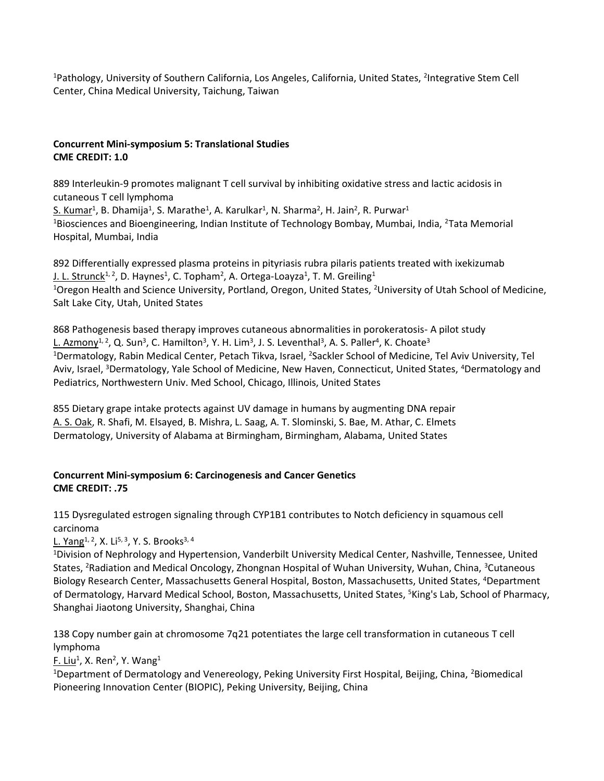<sup>1</sup>Pathology, University of Southern California, Los Angeles, California, United States, <sup>2</sup>Integrative Stem Cell Center, China Medical University, Taichung, Taiwan

# **Concurrent Mini-symposium 5: Translational Studies CME CREDIT: 1.0**

889 Interleukin-9 promotes malignant T cell survival by inhibiting oxidative stress and lactic acidosis in cutaneous T cell lymphoma

S. Kumar<sup>1</sup>, B. Dhamija<sup>1</sup>, S. Marathe<sup>1</sup>, A. Karulkar<sup>1</sup>, N. Sharma<sup>2</sup>, H. Jain<sup>2</sup>, R. Purwar<sup>1</sup> <sup>1</sup>Biosciences and Bioengineering, Indian Institute of Technology Bombay, Mumbai, India, <sup>2</sup>Tata Memorial Hospital, Mumbai, India

892 Differentially expressed plasma proteins in pityriasis rubra pilaris patients treated with ixekizumab J. L. Strunck<sup>1, 2</sup>, D. Haynes<sup>1</sup>, C. Topham<sup>2</sup>, A. Ortega-Loayza<sup>1</sup>, T. M. Greiling<sup>1</sup> <sup>1</sup>Oregon Health and Science University, Portland, Oregon, United States, <sup>2</sup>University of Utah School of Medicine, Salt Lake City, Utah, United States

868 Pathogenesis based therapy improves cutaneous abnormalities in porokeratosis- A pilot study L. Azmony<sup>1, 2</sup>, Q. Sun<sup>3</sup>, C. Hamilton<sup>3</sup>, Y. H. Lim<sup>3</sup>, J. S. Leventhal<sup>3</sup>, A. S. Paller<sup>4</sup>, K. Choate<sup>3</sup> <sup>1</sup>Dermatology, Rabin Medical Center, Petach Tikva, Israel, <sup>2</sup>Sackler School of Medicine, Tel Aviv University, Tel Aviv, Israel, <sup>3</sup>Dermatology, Yale School of Medicine, New Haven, Connecticut, United States, <sup>4</sup>Dermatology and Pediatrics, Northwestern Univ. Med School, Chicago, Illinois, United States

855 Dietary grape intake protects against UV damage in humans by augmenting DNA repair A. S. Oak, R. Shafi, M. Elsayed, B. Mishra, L. Saag, A. T. Slominski, S. Bae, M. Athar, C. Elmets Dermatology, University of Alabama at Birmingham, Birmingham, Alabama, United States

# **Concurrent Mini-symposium 6: Carcinogenesis and Cancer Genetics CME CREDIT: .75**

115 Dysregulated estrogen signaling through CYP1B1 contributes to Notch deficiency in squamous cell carcinoma

L. Yang<sup>1, 2</sup>, X. Li<sup>5, 3</sup>, Y. S. Brooks<sup>3, 4</sup>

<sup>1</sup>Division of Nephrology and Hypertension, Vanderbilt University Medical Center, Nashville, Tennessee, United States, <sup>2</sup>Radiation and Medical Oncology, Zhongnan Hospital of Wuhan University, Wuhan, China, <sup>3</sup>Cutaneous Biology Research Center, Massachusetts General Hospital, Boston, Massachusetts, United States, <sup>4</sup>Department of Dermatology, Harvard Medical School, Boston, Massachusetts, United States, <sup>5</sup>King's Lab, School of Pharmacy, Shanghai Jiaotong University, Shanghai, China

138 Copy number gain at chromosome 7q21 potentiates the large cell transformation in cutaneous T cell lymphoma

F. Liu<sup>1</sup>, X. Ren<sup>2</sup>, Y. Wang<sup>1</sup>

<sup>1</sup>Department of Dermatology and Venereology, Peking University First Hospital, Beijing, China, <sup>2</sup>Biomedical Pioneering Innovation Center (BIOPIC), Peking University, Beijing, China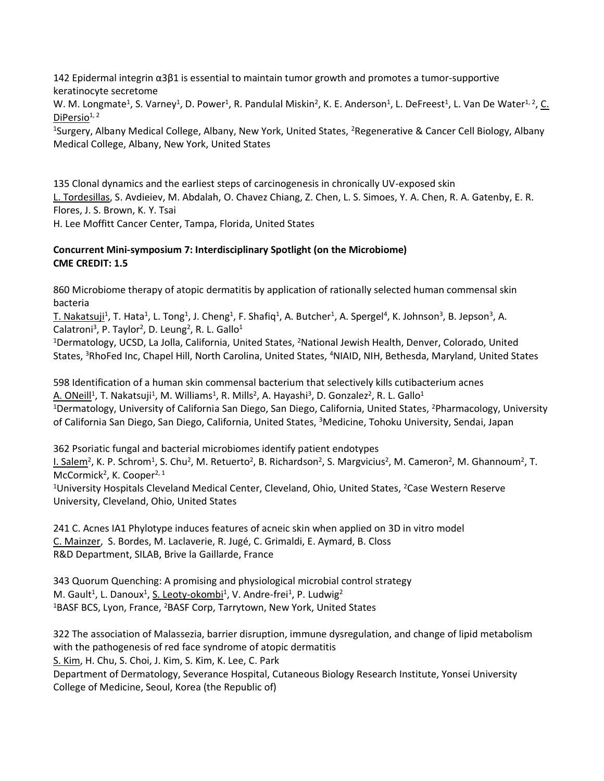142 Epidermal integrin α3β1 is essential to maintain tumor growth and promotes a tumor-supportive keratinocyte secretome

W. M. Longmate<sup>1</sup>, S. Varney<sup>1</sup>, D. Power<sup>1</sup>, R. Pandulal Miskin<sup>2</sup>, K. E. Anderson<sup>1</sup>, L. DeFreest<sup>1</sup>, L. Van De Water<sup>1, 2</sup>, C. DiPersio $1, 2$ 

<sup>1</sup>Surgery, Albany Medical College, Albany, New York, United States, <sup>2</sup>Regenerative & Cancer Cell Biology, Albany Medical College, Albany, New York, United States

135 Clonal dynamics and the earliest steps of carcinogenesis in chronically UV-exposed skin L. Tordesillas, S. Avdieiev, M. Abdalah, O. Chavez Chiang, Z. Chen, L. S. Simoes, Y. A. Chen, R. A. Gatenby, E. R. Flores, J. S. Brown, K. Y. Tsai H. Lee Moffitt Cancer Center, Tampa, Florida, United States

# **Concurrent Mini-symposium 7: Interdisciplinary Spotlight (on the Microbiome) CME CREDIT: 1.5**

860 Microbiome therapy of atopic dermatitis by application of rationally selected human commensal skin bacteria

T. Nakatsuji<sup>1</sup>, T. Hata<sup>1</sup>, L. Tong<sup>1</sup>, J. Cheng<sup>1</sup>, F. Shafiq<sup>1</sup>, A. Butcher<sup>1</sup>, A. Spergel<sup>4</sup>, K. Johnson<sup>3</sup>, B. Jepson<sup>3</sup>, A. Calatroni<sup>3</sup>, P. Taylor<sup>2</sup>, D. Leung<sup>2</sup>, R. L. Gallo<sup>1</sup>

<sup>1</sup>Dermatology, UCSD, La Jolla, California, United States, <sup>2</sup>National Jewish Health, Denver, Colorado, United States, <sup>3</sup>RhoFed Inc, Chapel Hill, North Carolina, United States, <sup>4</sup>NIAID, NIH, Bethesda, Maryland, United States

598 Identification of a human skin commensal bacterium that selectively kills cutibacterium acnes A. ONeill<sup>1</sup>, T. Nakatsuji<sup>1</sup>, M. Williams<sup>1</sup>, R. Mills<sup>2</sup>, A. Hayashi<sup>3</sup>, D. Gonzalez<sup>2</sup>, R. L. Gallo<sup>1</sup> <sup>1</sup>Dermatology, University of California San Diego, San Diego, California, United States, <sup>2</sup>Pharmacology, University of California San Diego, San Diego, California, United States, <sup>3</sup>Medicine, Tohoku University, Sendai, Japan

362 Psoriatic fungal and bacterial microbiomes identify patient endotypes l. Salem<sup>2</sup>, K. P. Schrom<sup>1</sup>, S. Chu<sup>2</sup>, M. Retuerto<sup>2</sup>, B. Richardson<sup>2</sup>, S. Margvicius<sup>2</sup>, M. Cameron<sup>2</sup>, M. Ghannoum<sup>2</sup>, T. McCormick<sup>2</sup>, K. Cooper<sup>2, 1</sup>

<sup>1</sup>University Hospitals Cleveland Medical Center, Cleveland, Ohio, United States, <sup>2</sup>Case Western Reserve University, Cleveland, Ohio, United States

241 C. Acnes IA1 Phylotype induces features of acneic skin when applied on 3D in vitro model C. Mainzer, S. Bordes, M. Laclaverie, R. Jugé, C. Grimaldi, E. Aymard, B. Closs R&D Department, SILAB, Brive la Gaillarde, France

343 Quorum Quenching: A promising and physiological microbial control strategy M. Gault<sup>1</sup>, L. Danoux<sup>1</sup>, S. Leoty-okombi<sup>1</sup>, V. Andre-frei<sup>1</sup>, P. Ludwig<sup>2</sup> <sup>1</sup>BASF BCS, Lyon, France, <sup>2</sup>BASF Corp, Tarrytown, New York, United States

322 The association of Malassezia, barrier disruption, immune dysregulation, and change of lipid metabolism with the pathogenesis of red face syndrome of atopic dermatitis S. Kim, H. Chu, S. Choi, J. Kim, S. Kim, K. Lee, C. Park Department of Dermatology, Severance Hospital, Cutaneous Biology Research Institute, Yonsei University College of Medicine, Seoul, Korea (the Republic of)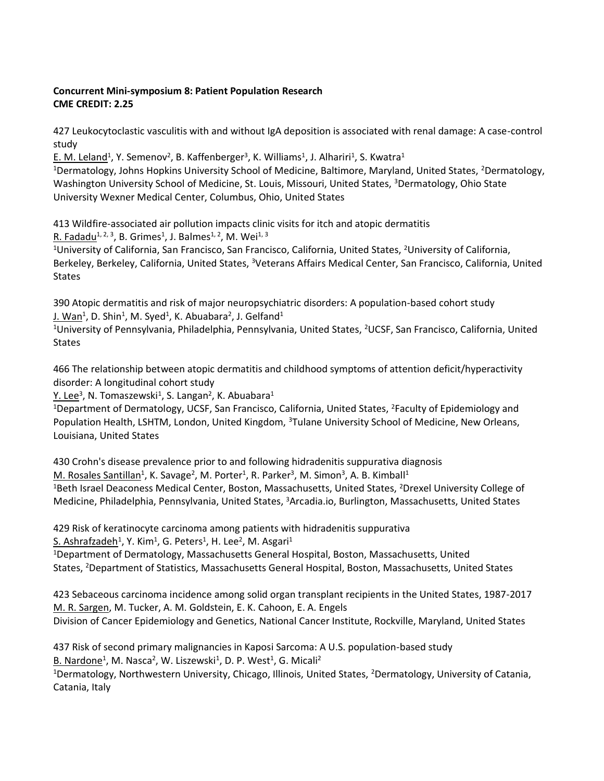# **Concurrent Mini-symposium 8: Patient Population Research CME CREDIT: 2.25**

427 Leukocytoclastic vasculitis with and without IgA deposition is associated with renal damage: A case-control study

E. M. Leland<sup>1</sup>, Y. Semenov<sup>2</sup>, B. Kaffenberger<sup>3</sup>, K. Williams<sup>1</sup>, J. Alhariri<sup>1</sup>, S. Kwatra<sup>1</sup> <sup>1</sup>Dermatology, Johns Hopkins University School of Medicine, Baltimore, Maryland, United States, <sup>2</sup>Dermatology, Washington University School of Medicine, St. Louis, Missouri, United States, <sup>3</sup>Dermatology, Ohio State University Wexner Medical Center, Columbus, Ohio, United States

413 Wildfire-associated air pollution impacts clinic visits for itch and atopic dermatitis R. Fadadu<sup>1, 2, 3</sup>, B. Grimes<sup>1</sup>, J. Balmes<sup>1, 2</sup>, M. Wei<sup>1, 3</sup>

<sup>1</sup>University of California, San Francisco, San Francisco, California, United States, <sup>2</sup>University of California, Berkeley, Berkeley, California, United States, <sup>3</sup>Veterans Affairs Medical Center, San Francisco, California, United States

390 Atopic dermatitis and risk of major neuropsychiatric disorders: A population-based cohort study J. Wan<sup>1</sup>, D. Shin<sup>1</sup>, M. Syed<sup>1</sup>, K. Abuabara<sup>2</sup>, J. Gelfand<sup>1</sup>

<sup>1</sup>University of Pennsylvania, Philadelphia, Pennsylvania, United States, <sup>2</sup>UCSF, San Francisco, California, United States

466 The relationship between atopic dermatitis and childhood symptoms of attention deficit/hyperactivity disorder: A longitudinal cohort study

Y. Lee<sup>3</sup>, N. Tomaszewski<sup>1</sup>, S. Langan<sup>2</sup>, K. Abuabara<sup>1</sup>

<sup>1</sup>Department of Dermatology, UCSF, San Francisco, California, United States, <sup>2</sup>Faculty of Epidemiology and Population Health, LSHTM, London, United Kingdom, <sup>3</sup>Tulane University School of Medicine, New Orleans, Louisiana, United States

430 Crohn's disease prevalence prior to and following hidradenitis suppurativa diagnosis M. Rosales Santillan<sup>1</sup>, K. Savage<sup>2</sup>, M. Porter<sup>1</sup>, R. Parker<sup>3</sup>, M. Simon<sup>3</sup>, A. B. Kimball<sup>1</sup> <sup>1</sup>Beth Israel Deaconess Medical Center, Boston, Massachusetts, United States, <sup>2</sup>Drexel University College of Medicine, Philadelphia, Pennsylvania, United States, <sup>3</sup>Arcadia.io, Burlington, Massachusetts, United States

429 Risk of keratinocyte carcinoma among patients with hidradenitis suppurativa

 $S.$  Ashrafzadeh $^1$ , Y. Kim $^1$ , G. Peters $^1$ , H. Lee $^2$ , M. Asgari $^1$ 

<sup>1</sup>Department of Dermatology, Massachusetts General Hospital, Boston, Massachusetts, United States, <sup>2</sup>Department of Statistics, Massachusetts General Hospital, Boston, Massachusetts, United States

423 Sebaceous carcinoma incidence among solid organ transplant recipients in the United States, 1987-2017 M. R. Sargen, M. Tucker, A. M. Goldstein, E. K. Cahoon, E. A. Engels Division of Cancer Epidemiology and Genetics, National Cancer Institute, Rockville, Maryland, United States

437 Risk of second primary malignancies in Kaposi Sarcoma: A U.S. population-based study B. Nardone<sup>1</sup>, M. Nasca<sup>2</sup>, W. Liszewski<sup>1</sup>, D. P. West<sup>1</sup>, G. Micali<sup>2</sup>

<sup>1</sup>Dermatology, Northwestern University, Chicago, Illinois, United States, <sup>2</sup>Dermatology, University of Catania, Catania, Italy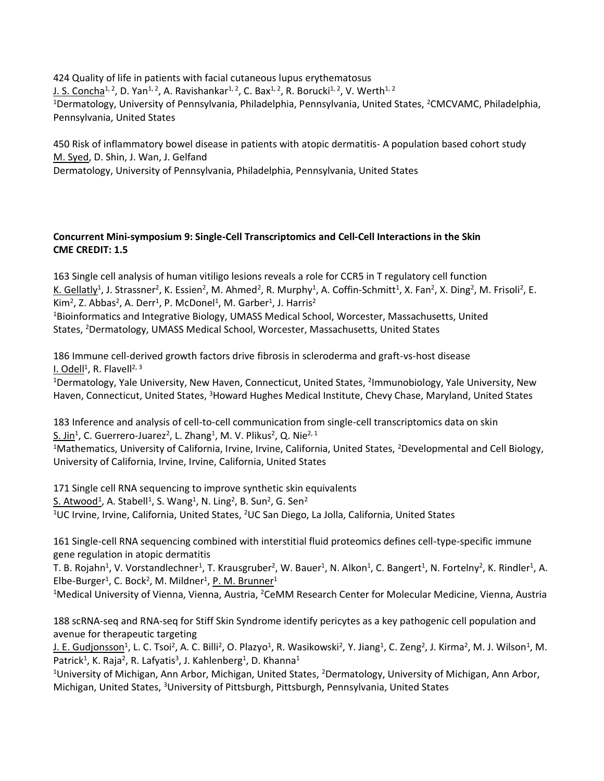424 Quality of life in patients with facial cutaneous lupus erythematosus J. S. Concha<sup>1, 2</sup>, D. Yan<sup>1, 2</sup>, A. Ravishankar<sup>1, 2</sup>, C. Bax<sup>1, 2</sup>, R. Borucki<sup>1, 2</sup>, V. Werth<sup>1, 2</sup> <sup>1</sup>Dermatology, University of Pennsylvania, Philadelphia, Pennsylvania, United States, <sup>2</sup>CMCVAMC, Philadelphia, Pennsylvania, United States

450 Risk of inflammatory bowel disease in patients with atopic dermatitis- A population based cohort study M. Syed, D. Shin, J. Wan, J. Gelfand

Dermatology, University of Pennsylvania, Philadelphia, Pennsylvania, United States

# **Concurrent Mini-symposium 9: Single-Cell Transcriptomics and Cell-Cell Interactions in the Skin CME CREDIT: 1.5**

163 Single cell analysis of human vitiligo lesions reveals a role for CCR5 in T regulatory cell function K. Gellatly<sup>1</sup>, J. Strassner<sup>2</sup>, K. Essien<sup>2</sup>, M. Ahmed<sup>2</sup>, R. Murphy<sup>1</sup>, A. Coffin-Schmitt<sup>1</sup>, X. Fan<sup>2</sup>, X. Ding<sup>2</sup>, M. Frisoli<sup>2</sup>, E. Kim<sup>2</sup>, Z. Abbas<sup>2</sup>, A. Derr<sup>1</sup>, P. McDonel<sup>1</sup>, M. Garber<sup>1</sup>, J. Harris<sup>2</sup>

<sup>1</sup>Bioinformatics and Integrative Biology, UMASS Medical School, Worcester, Massachusetts, United States, <sup>2</sup>Dermatology, UMASS Medical School, Worcester, Massachusetts, United States

186 Immune cell-derived growth factors drive fibrosis in scleroderma and graft-vs-host disease l. Odell<sup>1</sup>, R. Flavell<sup>2, 3</sup>

<sup>1</sup>Dermatology, Yale University, New Haven, Connecticut, United States, <sup>2</sup>Immunobiology, Yale University, New Haven, Connecticut, United States, <sup>3</sup>Howard Hughes Medical Institute, Chevy Chase, Maryland, United States

183 Inference and analysis of cell-to-cell communication from single-cell transcriptomics data on skin S. Jin<sup>1</sup>, C. Guerrero-Juarez<sup>2</sup>, L. Zhang<sup>1</sup>, M. V. Plikus<sup>2</sup>, Q. Nie<sup>2, 1</sup>

<sup>1</sup>Mathematics, University of California, Irvine, Irvine, California, United States, <sup>2</sup>Developmental and Cell Biology, University of California, Irvine, Irvine, California, United States

171 Single cell RNA sequencing to improve synthetic skin equivalents S. Atwood<sup>1</sup>, A. Stabell<sup>1</sup>, S. Wang<sup>1</sup>, N. Ling<sup>2</sup>, B. Sun<sup>2</sup>, G. Sen<sup>2</sup> <sup>1</sup>UC Irvine, Irvine, California, United States, <sup>2</sup>UC San Diego, La Jolla, California, United States

161 Single-cell RNA sequencing combined with interstitial fluid proteomics defines cell-type-specific immune gene regulation in atopic dermatitis

T. B. Rojahn<sup>1</sup>, V. Vorstandlechner<sup>1</sup>, T. Krausgruber<sup>2</sup>, W. Bauer<sup>1</sup>, N. Alkon<sup>1</sup>, C. Bangert<sup>1</sup>, N. Fortelny<sup>2</sup>, K. Rindler<sup>1</sup>, A. Elbe-Burger<sup>1</sup>, C. Bock<sup>2</sup>, M. Mildner<sup>1</sup>, P. M. Brunner<sup>1</sup>

<sup>1</sup>Medical University of Vienna, Vienna, Austria, <sup>2</sup>CeMM Research Center for Molecular Medicine, Vienna, Austria

188 scRNA-seq and RNA-seq for Stiff Skin Syndrome identify pericytes as a key pathogenic cell population and avenue for therapeutic targeting

J. E. Gudjonsson<sup>1</sup>, L. C. Tsoi<sup>2</sup>, A. C. Billi<sup>2</sup>, O. Plazyo<sup>1</sup>, R. Wasikowski<sup>2</sup>, Y. Jiang<sup>1</sup>, C. Zeng<sup>2</sup>, J. Kirma<sup>2</sup>, M. J. Wilson<sup>1</sup>, M. Patrick<sup>1</sup>, K. Raja<sup>2</sup>, R. Lafyatis<sup>3</sup>, J. Kahlenberg<sup>1</sup>, D. Khanna<sup>1</sup>

<sup>1</sup>University of Michigan, Ann Arbor, Michigan, United States, <sup>2</sup>Dermatology, University of Michigan, Ann Arbor, Michigan, United States, <sup>3</sup>University of Pittsburgh, Pittsburgh, Pennsylvania, United States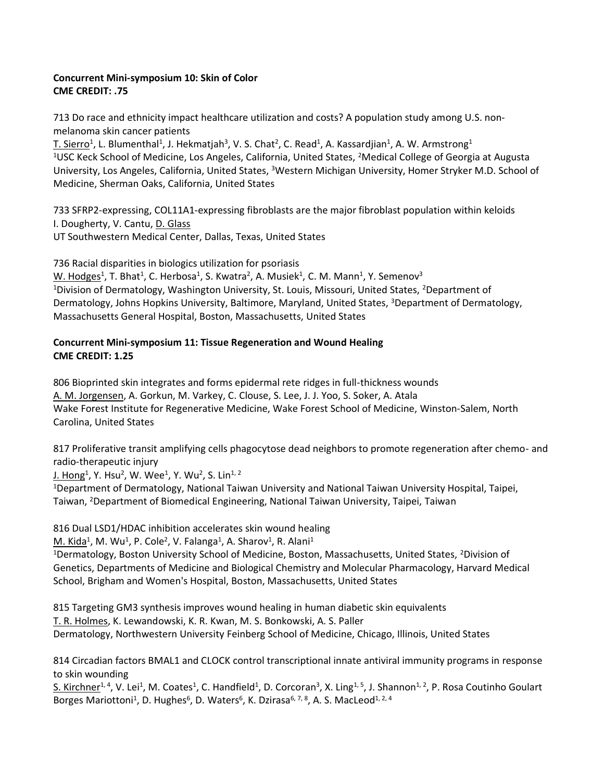## **Concurrent Mini-symposium 10: Skin of Color CME CREDIT: .75**

713 Do race and ethnicity impact healthcare utilization and costs? A population study among U.S. nonmelanoma skin cancer patients

T. Sierro<sup>1</sup>, L. Blumenthal<sup>1</sup>, J. Hekmatjah<sup>3</sup>, V. S. Chat<sup>2</sup>, C. Read<sup>1</sup>, A. Kassardjian<sup>1</sup>, A. W. Armstrong<sup>1</sup> <sup>1</sup>USC Keck School of Medicine, Los Angeles, California, United States, <sup>2</sup>Medical College of Georgia at Augusta University, Los Angeles, California, United States, <sup>3</sup>Western Michigan University, Homer Stryker M.D. School of Medicine, Sherman Oaks, California, United States

733 SFRP2-expressing, COL11A1-expressing fibroblasts are the major fibroblast population within keloids I. Dougherty, V. Cantu, D. Glass UT Southwestern Medical Center, Dallas, Texas, United States

736 Racial disparities in biologics utilization for psoriasis

W. Hodges<sup>1</sup>, T. Bhat<sup>1</sup>, C. Herbosa<sup>1</sup>, S. Kwatra<sup>2</sup>, A. Musiek<sup>1</sup>, C. M. Mann<sup>1</sup>, Y. Semenov<sup>3</sup> <sup>1</sup>Division of Dermatology, Washington University, St. Louis, Missouri, United States, <sup>2</sup>Department of Dermatology, Johns Hopkins University, Baltimore, Maryland, United States, <sup>3</sup>Department of Dermatology, Massachusetts General Hospital, Boston, Massachusetts, United States

## **Concurrent Mini-symposium 11: Tissue Regeneration and Wound Healing CME CREDIT: 1.25**

806 Bioprinted skin integrates and forms epidermal rete ridges in full-thickness wounds A. M. Jorgensen, A. Gorkun, M. Varkey, C. Clouse, S. Lee, J. J. Yoo, S. Soker, A. Atala Wake Forest Institute for Regenerative Medicine, Wake Forest School of Medicine, Winston-Salem, North Carolina, United States

817 Proliferative transit amplifying cells phagocytose dead neighbors to promote regeneration after chemo- and radio-therapeutic injury

<u>J. Hong<sup>1</sup>,</u> Y. Hsu<sup>2</sup>, W. Wee<sup>1</sup>, Y. Wu<sup>2</sup>, S. Lin<sup>1, 2</sup>

<sup>1</sup>Department of Dermatology, National Taiwan University and National Taiwan University Hospital, Taipei, Taiwan, <sup>2</sup>Department of Biomedical Engineering, National Taiwan University, Taipei, Taiwan

816 Dual LSD1/HDAC inhibition accelerates skin wound healing

 $M$ . Kida<sup>1</sup>, M. Wu<sup>1</sup>, P. Cole<sup>2</sup>, V. Falanga<sup>1</sup>, A. Sharov<sup>1</sup>, R. Alani<sup>1</sup>

<sup>1</sup>Dermatology, Boston University School of Medicine, Boston, Massachusetts, United States, <sup>2</sup>Division of Genetics, Departments of Medicine and Biological Chemistry and Molecular Pharmacology, Harvard Medical School, Brigham and Women's Hospital, Boston, Massachusetts, United States

815 Targeting GM3 synthesis improves wound healing in human diabetic skin equivalents T. R. Holmes, K. Lewandowski, K. R. Kwan, M. S. Bonkowski, A. S. Paller Dermatology, Northwestern University Feinberg School of Medicine, Chicago, Illinois, United States

814 Circadian factors BMAL1 and CLOCK control transcriptional innate antiviral immunity programs in response to skin wounding

S. Kirchner<sup>1, 4</sup>, V. Lei<sup>1</sup>, M. Coates<sup>1</sup>, C. Handfield<sup>1</sup>, D. Corcoran<sup>3</sup>, X. Ling<sup>1, 5</sup>, J. Shannon<sup>1, 2</sup>, P. Rosa Coutinho Goulart Borges Mariottoni<sup>1</sup>, D. Hughes<sup>6</sup>, D. Waters<sup>6</sup>, K. Dzirasa<sup>6, 7, 8</sup>, A. S. MacLeod<sup>1, 2, 4</sup>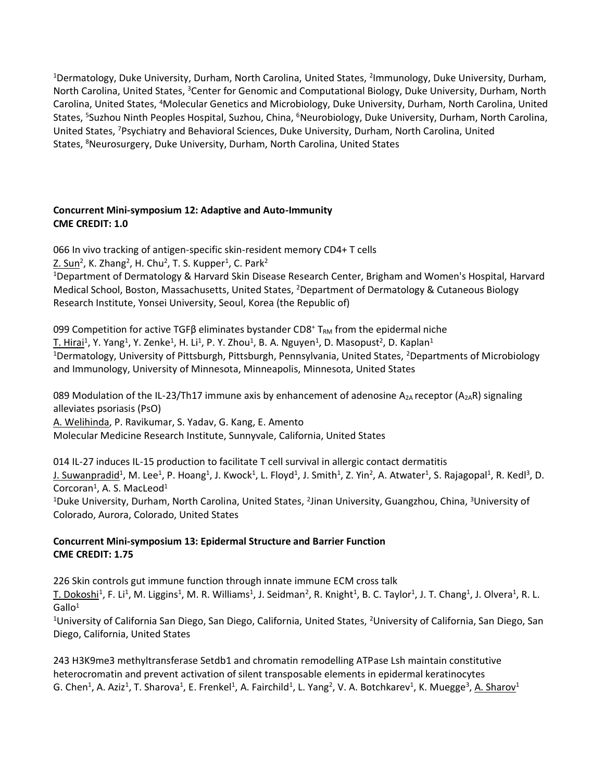<sup>1</sup>Dermatology, Duke University, Durham, North Carolina, United States, <sup>2</sup>Immunology, Duke University, Durham, North Carolina, United States, <sup>3</sup>Center for Genomic and Computational Biology, Duke University, Durham, North Carolina, United States, <sup>4</sup>Molecular Genetics and Microbiology, Duke University, Durham, North Carolina, United States, <sup>5</sup>Suzhou Ninth Peoples Hospital, Suzhou, China, <sup>6</sup>Neurobiology, Duke University, Durham, North Carolina, United States, <sup>7</sup>Psychiatry and Behavioral Sciences, Duke University, Durham, North Carolina, United States, <sup>8</sup>Neurosurgery, Duke University, Durham, North Carolina, United States

## **Concurrent Mini-symposium 12: Adaptive and Auto-Immunity CME CREDIT: 1.0**

066 In vivo tracking of antigen-specific skin-resident memory CD4+ T cells

Z. Sun<sup>2</sup>, K. Zhang<sup>2</sup>, H. Chu<sup>2</sup>, T. S. Kupper<sup>1</sup>, C. Park<sup>2</sup>

<sup>1</sup>Department of Dermatology & Harvard Skin Disease Research Center, Brigham and Women's Hospital, Harvard Medical School, Boston, Massachusetts, United States, <sup>2</sup>Department of Dermatology & Cutaneous Biology Research Institute, Yonsei University, Seoul, Korea (the Republic of)

099 Competition for active TGFB eliminates bystander CD8<sup>+</sup> T<sub>RM</sub> from the epidermal niche T. Hirai<sup>1</sup>, Y. Yang<sup>1</sup>, Y. Zenke<sup>1</sup>, H. Li<sup>1</sup>, P. Y. Zhou<sup>1</sup>, B. A. Nguyen<sup>1</sup>, D. Masopust<sup>2</sup>, D. Kaplan<sup>1</sup> <sup>1</sup>Dermatology, University of Pittsburgh, Pittsburgh, Pennsylvania, United States, <sup>2</sup>Departments of Microbiology and Immunology, University of Minnesota, Minneapolis, Minnesota, United States

089 Modulation of the IL-23/Th17 immune axis by enhancement of adenosine  $A_{2A}$  receptor ( $A_{2A}R$ ) signaling alleviates psoriasis (PsO)

A. Welihinda, P. Ravikumar, S. Yadav, G. Kang, E. Amento

Molecular Medicine Research Institute, Sunnyvale, California, United States

014 IL-27 induces IL-15 production to facilitate T cell survival in allergic contact dermatitis J. Suwanpradid<sup>1</sup>, M. Lee<sup>1</sup>, P. Hoang<sup>1</sup>, J. Kwock<sup>1</sup>, L. Floyd<sup>1</sup>, J. Smith<sup>1</sup>, Z. Yin<sup>2</sup>, A. Atwater<sup>1</sup>, S. Rajagopal<sup>1</sup>, R. Kedl<sup>3</sup>, D. Corcoran<sup>1</sup>, A. S. MacLeod<sup>1</sup>

<sup>1</sup>Duke University, Durham, North Carolina, United States, <sup>2</sup>Jinan University, Guangzhou, China, <sup>3</sup>University of Colorado, Aurora, Colorado, United States

## **Concurrent Mini-symposium 13: Epidermal Structure and Barrier Function CME CREDIT: 1.75**

226 Skin controls gut immune function through innate immune ECM cross talk T. Dokoshi<sup>1</sup>, F. Li<sup>1</sup>, M. Liggins<sup>1</sup>, M. R. Williams<sup>1</sup>, J. Seidman<sup>2</sup>, R. Knight<sup>1</sup>, B. C. Taylor<sup>1</sup>, J. T. Chang<sup>1</sup>, J. Olvera<sup>1</sup>, R. L.  $G$ allo<sup>1</sup>

<sup>1</sup>University of California San Diego, San Diego, California, United States, <sup>2</sup>University of California, San Diego, San Diego, California, United States

243 H3K9me3 methyltransferase Setdb1 and chromatin remodelling ATPase Lsh maintain constitutive heterocromatin and prevent activation of silent transposable elements in epidermal keratinocytes G. Chen<sup>1</sup>, A. Aziz<sup>1</sup>, T. Sharova<sup>1</sup>, E. Frenkel<sup>1</sup>, A. Fairchild<sup>1</sup>, L. Yang<sup>2</sup>, V. A. Botchkarev<sup>1</sup>, K. Muegge<sup>3</sup>, <u>A. Sharov</u><sup>1</sup>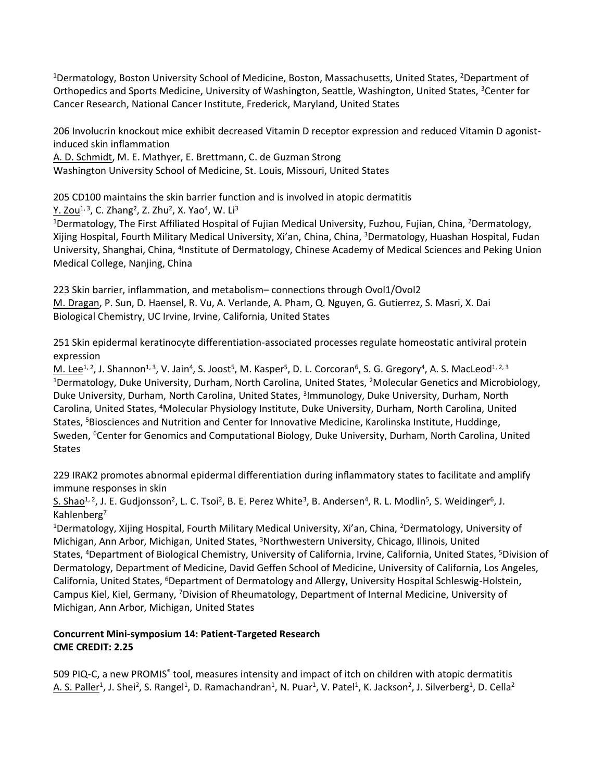<sup>1</sup>Dermatology, Boston University School of Medicine, Boston, Massachusetts, United States, <sup>2</sup>Department of Orthopedics and Sports Medicine, University of Washington, Seattle, Washington, United States, <sup>3</sup>Center for Cancer Research, National Cancer Institute, Frederick, Maryland, United States

206 Involucrin knockout mice exhibit decreased Vitamin D receptor expression and reduced Vitamin D agonistinduced skin inflammation

A. D. Schmidt, M. E. Mathyer, E. Brettmann, C. de Guzman Strong

Washington University School of Medicine, St. Louis, Missouri, United States

205 CD100 maintains the skin barrier function and is involved in atopic dermatitis Y. Zou<sup>1, 3</sup>, C. Zhang<sup>2</sup>, Z. Zhu<sup>2</sup>, X. Yao<sup>4</sup>, W. Li<sup>3</sup>

<sup>1</sup>Dermatology, The First Affiliated Hospital of Fujian Medical University, Fuzhou, Fujian, China, <sup>2</sup>Dermatology, Xijing Hospital, Fourth Military Medical University, Xi'an, China, China, <sup>3</sup>Dermatology, Huashan Hospital, Fudan University, Shanghai, China, <sup>4</sup>Institute of Dermatology, Chinese Academy of Medical Sciences and Peking Union Medical College, Nanjing, China

223 Skin barrier, inflammation, and metabolism– connections through Ovol1/Ovol2 M. Dragan, P. Sun, D. Haensel, R. Vu, A. Verlande, A. Pham, Q. Nguyen, G. Gutierrez, S. Masri, X. Dai Biological Chemistry, UC Irvine, Irvine, California, United States

251 Skin epidermal keratinocyte differentiation-associated processes regulate homeostatic antiviral protein expression

M. Lee<sup>1, 2</sup>, J. Shannon<sup>1, 3</sup>, V. Jain<sup>4</sup>, S. Joost<sup>5</sup>, M. Kasper<sup>5</sup>, D. L. Corcoran<sup>6</sup>, S. G. Gregory<sup>4</sup>, A. S. MacLeod<sup>1, 2, 3</sup> <sup>1</sup>Dermatology, Duke University, Durham, North Carolina, United States, <sup>2</sup>Molecular Genetics and Microbiology, Duke University, Durham, North Carolina, United States, <sup>3</sup>Immunology, Duke University, Durham, North Carolina, United States, <sup>4</sup>Molecular Physiology Institute, Duke University, Durham, North Carolina, United States, <sup>5</sup>Biosciences and Nutrition and Center for Innovative Medicine, Karolinska Institute, Huddinge, Sweden, <sup>6</sup>Center for Genomics and Computational Biology, Duke University, Durham, North Carolina, United States

229 IRAK2 promotes abnormal epidermal differentiation during inflammatory states to facilitate and amplify immune responses in skin

S. Shao<sup>1, 2</sup>, J. E. Gudjonsson<sup>2</sup>, L. C. Tsoi<sup>2</sup>, B. E. Perez White<sup>3</sup>, B. Andersen<sup>4</sup>, R. L. Modlin<sup>5</sup>, S. Weidinger<sup>6</sup>, J. Kahlenberg<sup>7</sup>

<sup>1</sup>Dermatology, Xijing Hospital, Fourth Military Medical University, Xi'an, China, <sup>2</sup>Dermatology, University of Michigan, Ann Arbor, Michigan, United States, <sup>3</sup>Northwestern University, Chicago, Illinois, United States, <sup>4</sup>Department of Biological Chemistry, University of California, Irvine, California, United States, <sup>5</sup>Division of Dermatology, Department of Medicine, David Geffen School of Medicine, University of California, Los Angeles, California, United States, <sup>6</sup>Department of Dermatology and Allergy, University Hospital Schleswig-Holstein, Campus Kiel, Kiel, Germany, <sup>7</sup>Division of Rheumatology, Department of Internal Medicine, University of Michigan, Ann Arbor, Michigan, United States

# **Concurrent Mini-symposium 14: Patient-Targeted Research CME CREDIT: 2.25**

509 PIQ-C, a new PROMIS<sup>®</sup> tool, measures intensity and impact of itch on children with atopic dermatitis A. S. Paller<sup>1</sup>, J. Shei<sup>2</sup>, S. Rangel<sup>1</sup>, D. Ramachandran<sup>1</sup>, N. Puar<sup>1</sup>, V. Patel<sup>1</sup>, K. Jackson<sup>2</sup>, J. Silverberg<sup>1</sup>, D. Cella<sup>2</sup>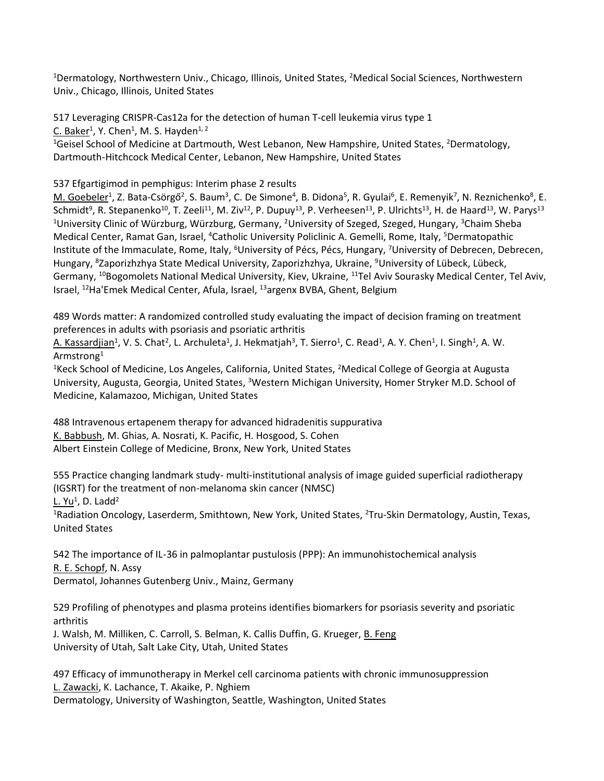<sup>1</sup>Dermatology, Northwestern Univ., Chicago, Illinois, United States, <sup>2</sup>Medical Social Sciences, Northwestern Univ., Chicago, Illinois, United States

517 Leveraging CRISPR-Cas12a for the detection of human T-cell leukemia virus type 1 C. Baker<sup>1</sup>, Y. Chen<sup>1</sup>, M. S. Hayden<sup>1, 2</sup> <sup>1</sup>Geisel School of Medicine at Dartmouth, West Lebanon, New Hampshire, United States, <sup>2</sup>Dermatology, Dartmouth-Hitchcock Medical Center, Lebanon, New Hampshire, United States

537 Efgartigimod in pemphigus: Interim phase 2 results

M. Goebeler<sup>1</sup>, Z. Bata-Csörgő<sup>2</sup>, S. Baum<sup>3</sup>, C. De Simone<sup>4</sup>, B. Didona<sup>5</sup>, R. Gyulai<sup>6</sup>, E. Remenyik<sup>7</sup>, N. Reznichenko<sup>8</sup>, E. Schmidt<sup>9</sup>, R. Stepanenko<sup>10</sup>, T. Zeeli<sup>11</sup>, M. Ziv<sup>12</sup>, P. Dupuy<sup>13</sup>, P. Verheesen<sup>13</sup>, P. Ulrichts<sup>13</sup>, H. de Haard<sup>13</sup>, W. Parys<sup>13</sup> <sup>1</sup>University Clinic of Würzburg, Würzburg, Germany, <sup>2</sup>University of Szeged, Szeged, Hungary, <sup>3</sup>Chaim Sheba Medical Center, Ramat Gan, Israel, <sup>4</sup>Catholic University Policlinic A. Gemelli, Rome, Italy, <sup>5</sup>Dermatopathic Institute of the Immaculate, Rome, Italy, <sup>6</sup>University of Pécs, Pécs, Hungary, <sup>7</sup>University of Debrecen, Debrecen, Hungary, <sup>8</sup>Zaporizhzhya State Medical University, Zaporizhzhya, Ukraine, <sup>9</sup>University of Lübeck, Lübeck, Germany, <sup>10</sup>Bogomolets National Medical University, Kiev, Ukraine, <sup>11</sup>Tel Aviv Sourasky Medical Center, Tel Aviv, Israel, <sup>12</sup>Ha'Emek Medical Center, Afula, Israel, <sup>13</sup>argenx BVBA, Ghent, Belgium

489 Words matter: A randomized controlled study evaluating the impact of decision framing on treatment preferences in adults with psoriasis and psoriatic arthritis

A. Kassardjian<sup>1</sup>, V. S. Chat<sup>2</sup>, L. Archuleta<sup>1</sup>, J. Hekmatjah<sup>3</sup>, T. Sierro<sup>1</sup>, C. Read<sup>1</sup>, A. Y. Chen<sup>1</sup>, I. Singh<sup>1</sup>, A. W. Armstrong<sup>1</sup>

<sup>1</sup>Keck School of Medicine, Los Angeles, California, United States, <sup>2</sup>Medical College of Georgia at Augusta University, Augusta, Georgia, United States, <sup>3</sup>Western Michigan University, Homer Stryker M.D. School of Medicine, Kalamazoo, Michigan, United States

488 Intravenous ertapenem therapy for advanced hidradenitis suppurativa K. Babbush, M. Ghias, A. Nosrati, K. Pacific, H. Hosgood, S. Cohen Albert Einstein College of Medicine, Bronx, New York, United States

555 Practice changing landmark study- multi-institutional analysis of image guided superficial radiotherapy (IGSRT) for the treatment of non-melanoma skin cancer (NMSC) <u>L. Yu</u><sup>1</sup>, D. Ladd<sup>2</sup>

<sup>1</sup>Radiation Oncology, Laserderm, Smithtown, New York, United States, <sup>2</sup>Tru-Skin Dermatology, Austin, Texas, United States

542 The importance of IL-36 in palmoplantar pustulosis (PPP): An immunohistochemical analysis R. E. Schopf, N. Assy Dermatol, Johannes Gutenberg Univ., Mainz, Germany

529 Profiling of phenotypes and plasma proteins identifies biomarkers for psoriasis severity and psoriatic arthritis

J. Walsh, M. Milliken, C. Carroll, S. Belman, K. Callis Duffin, G. Krueger, B. Feng University of Utah, Salt Lake City, Utah, United States

497 Efficacy of immunotherapy in Merkel cell carcinoma patients with chronic immunosuppression L. Zawacki, K. Lachance, T. Akaike, P. Nghiem

Dermatology, University of Washington, Seattle, Washington, United States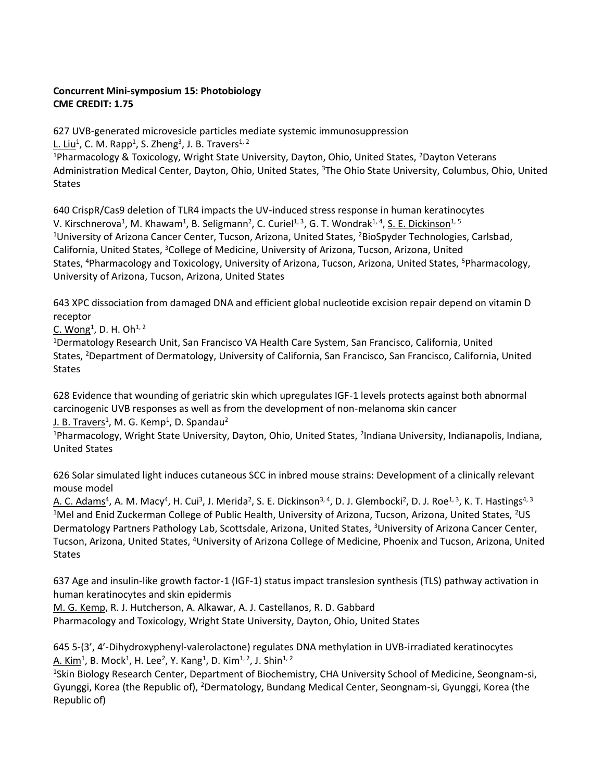# **Concurrent Mini-symposium 15: Photobiology CME CREDIT: 1.75**

627 UVB-generated microvesicle particles mediate systemic immunosuppression <u>L. Liu</u><sup>1</sup>, C. M. Rapp<sup>1</sup>, S. Zheng<sup>3</sup>, J. B. Travers<sup>1, 2</sup>

<sup>1</sup>Pharmacology & Toxicology, Wright State University, Dayton, Ohio, United States, <sup>2</sup>Dayton Veterans Administration Medical Center, Dayton, Ohio, United States, <sup>3</sup>The Ohio State University, Columbus, Ohio, United **States** 

640 CrispR/Cas9 deletion of TLR4 impacts the UV-induced stress response in human keratinocytes V. Kirschnerova<sup>1</sup>, M. Khawam<sup>1</sup>, B. Seligmann<sup>2</sup>, C. Curiel<sup>1, 3</sup>, G. T. Wondrak<sup>1, 4</sup>, <u>S. E. Dickinson</u><sup>1, 5</sup> <sup>1</sup>University of Arizona Cancer Center, Tucson, Arizona, United States, <sup>2</sup>BioSpyder Technologies, Carlsbad, California, United States, <sup>3</sup>College of Medicine, University of Arizona, Tucson, Arizona, United States, <sup>4</sup>Pharmacology and Toxicology, University of Arizona, Tucson, Arizona, United States, <sup>5</sup>Pharmacology, University of Arizona, Tucson, Arizona, United States

643 XPC dissociation from damaged DNA and efficient global nucleotide excision repair depend on vitamin D receptor

C. Wong<sup>1</sup>, D. H. Oh<sup>1, 2</sup>

<sup>1</sup>Dermatology Research Unit, San Francisco VA Health Care System, San Francisco, California, United States, <sup>2</sup>Department of Dermatology, University of California, San Francisco, San Francisco, California, United **States** 

628 Evidence that wounding of geriatric skin which upregulates IGF-1 levels protects against both abnormal carcinogenic UVB responses as well as from the development of non-melanoma skin cancer J. B. Travers<sup>1</sup>, M. G. Kemp<sup>1</sup>, D. Spandau<sup>2</sup>

<sup>1</sup>Pharmacology, Wright State University, Dayton, Ohio, United States, <sup>2</sup>Indiana University, Indianapolis, Indiana, United States

626 Solar simulated light induces cutaneous SCC in inbred mouse strains: Development of a clinically relevant mouse model

A. C. Adams<sup>4</sup>, A. M. Macy<sup>4</sup>, H. Cui<sup>3</sup>, J. Merida<sup>2</sup>, S. E. Dickinson<sup>3, 4</sup>, D. J. Glembocki<sup>2</sup>, D. J. Roe<sup>1, 3</sup>, K. T. Hastings<sup>4, 3</sup> <sup>1</sup>Mel and Enid Zuckerman College of Public Health, University of Arizona, Tucson, Arizona, United States, <sup>2</sup>US Dermatology Partners Pathology Lab, Scottsdale, Arizona, United States, <sup>3</sup>University of Arizona Cancer Center, Tucson, Arizona, United States, <sup>4</sup>University of Arizona College of Medicine, Phoenix and Tucson, Arizona, United States

637 Age and insulin-like growth factor-1 (IGF-1) status impact translesion synthesis (TLS) pathway activation in human keratinocytes and skin epidermis

M. G. Kemp, R. J. Hutcherson, A. Alkawar, A. J. Castellanos, R. D. Gabbard Pharmacology and Toxicology, Wright State University, Dayton, Ohio, United States

645 5-(3', 4'-Dihydroxyphenyl-valerolactone) regulates DNA methylation in UVB-irradiated keratinocytes  $\underline{\mathsf{A}}$ . Kim $^1$ , B. Mock $^1$ , H. Lee $^2$ , Y. Kang $^1$ , D. Kim $^{1,\,2}$ , J. Shin $^{1,\,2}$ 

<sup>1</sup>Skin Biology Research Center, Department of Biochemistry, CHA University School of Medicine, Seongnam-si, Gyunggi, Korea (the Republic of), <sup>2</sup>Dermatology, Bundang Medical Center, Seongnam-si, Gyunggi, Korea (the Republic of)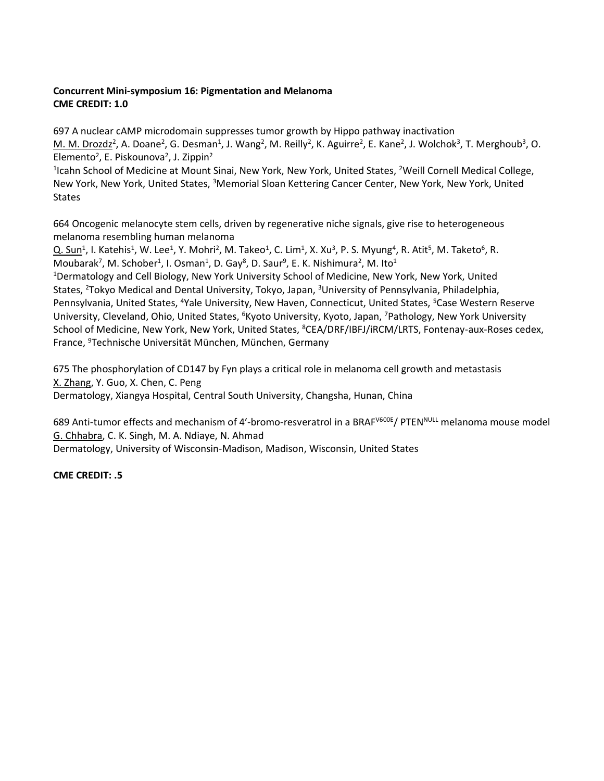# **Concurrent Mini-symposium 16: Pigmentation and Melanoma CME CREDIT: 1.0**

697 A nuclear cAMP microdomain suppresses tumor growth by Hippo pathway inactivation M. M. Drozdz<sup>2</sup>, A. Doane<sup>2</sup>, G. Desman<sup>1</sup>, J. Wang<sup>2</sup>, M. Reilly<sup>2</sup>, K. Aguirre<sup>2</sup>, E. Kane<sup>2</sup>, J. Wolchok<sup>3</sup>, T. Merghoub<sup>3</sup>, O. Elemento<sup>2</sup>, E. Piskounova<sup>2</sup>, J. Zippin<sup>2</sup>

<sup>1</sup>Icahn School of Medicine at Mount Sinai, New York, New York, United States, <sup>2</sup>Weill Cornell Medical College, New York, New York, United States, <sup>3</sup>Memorial Sloan Kettering Cancer Center, New York, New York, United States

664 Oncogenic melanocyte stem cells, driven by regenerative niche signals, give rise to heterogeneous melanoma resembling human melanoma

 $Q.$  Sun<sup>1</sup>, I. Katehis<sup>1</sup>, W. Lee<sup>1</sup>, Y. Mohri<sup>2</sup>, M. Takeo<sup>1</sup>, C. Lim<sup>1</sup>, X. Xu<sup>3</sup>, P. S. Myung<sup>4</sup>, R. Atit<sup>5</sup>, M. Taketo<sup>6</sup>, R. Moubarak<sup>7</sup>, M. Schober<sup>1</sup>, I. Osman<sup>1</sup>, D. Gay<sup>8</sup>, D. Saur<sup>9</sup>, E. K. Nishimura<sup>2</sup>, M. Ito<sup>1</sup>

<sup>1</sup>Dermatology and Cell Biology, New York University School of Medicine, New York, New York, United States, <sup>2</sup>Tokyo Medical and Dental University, Tokyo, Japan, <sup>3</sup>University of Pennsylvania, Philadelphia, Pennsylvania, United States, <sup>4</sup>Yale University, New Haven, Connecticut, United States, <sup>5</sup>Case Western Reserve University, Cleveland, Ohio, United States, <sup>6</sup>Kyoto University, Kyoto, Japan, <sup>7</sup>Pathology, New York University School of Medicine, New York, New York, United States, <sup>8</sup>CEA/DRF/IBFJ/iRCM/LRTS, Fontenay-aux-Roses cedex, France, <sup>9</sup>Technische Universität München, München, Germany

675 The phosphorylation of CD147 by Fyn plays a critical role in melanoma cell growth and metastasis X. Zhang, Y. Guo, X. Chen, C. Peng Dermatology, Xiangya Hospital, Central South University, Changsha, Hunan, China

689 Anti-tumor effects and mechanism of 4'-bromo-resveratrol in a BRAF<sup>V600E</sup>/ PTEN<sup>NULL</sup> melanoma mouse model G. Chhabra, C. K. Singh, M. A. Ndiaye, N. Ahmad

Dermatology, University of Wisconsin-Madison, Madison, Wisconsin, United States

**CME CREDIT: .5**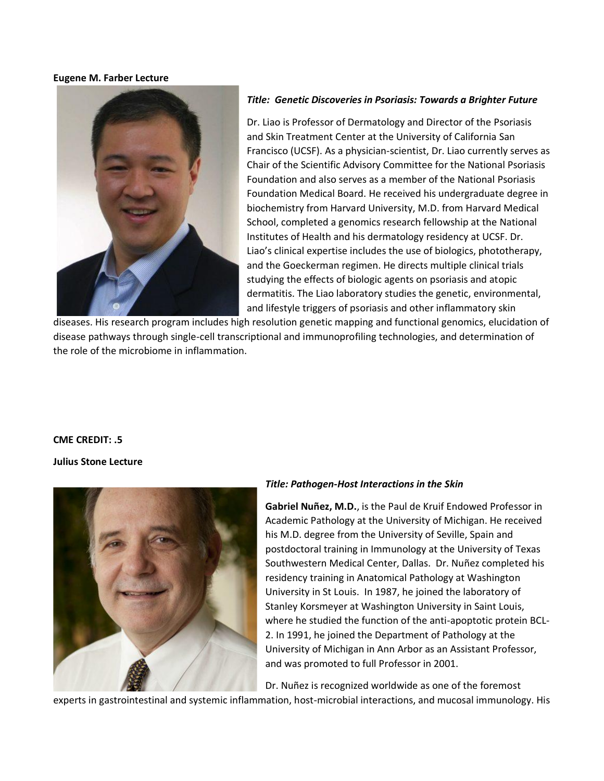#### **Eugene M. Farber Lecture**



### *Title: Genetic Discoveries in Psoriasis: Towards a Brighter Future*

Dr. Liao is Professor of Dermatology and Director of the Psoriasis and Skin Treatment Center at the University of California San Francisco (UCSF). As a physician-scientist, Dr. Liao currently serves as Chair of the Scientific Advisory Committee for the National Psoriasis Foundation and also serves as a member of the National Psoriasis Foundation Medical Board. He received his undergraduate degree in biochemistry from Harvard University, M.D. from Harvard Medical School, completed a genomics research fellowship at the National Institutes of Health and his dermatology residency at UCSF. Dr. Liao's clinical expertise includes the use of biologics, phototherapy, and the Goeckerman regimen. He directs multiple clinical trials studying the effects of biologic agents on psoriasis and atopic dermatitis. The Liao laboratory studies the genetic, environmental, and lifestyle triggers of psoriasis and other inflammatory skin

diseases. His research program includes high resolution genetic mapping and functional genomics, elucidation of disease pathways through single-cell transcriptional and immunoprofiling technologies, and determination of the role of the microbiome in inflammation.

### **CME CREDIT: .5**

### **Julius Stone Lecture**



## *Title: Pathogen-Host Interactions in the Skin*

**Gabriel Nuñez, M.D.**, is the Paul de Kruif Endowed Professor in Academic Pathology at the University of Michigan. He received his M.D. degree from the University of Seville, Spain and postdoctoral training in Immunology at the University of Texas Southwestern Medical Center, Dallas. Dr. Nuñez completed his residency training in Anatomical Pathology at Washington University in St Louis. In 1987, he joined the laboratory of Stanley Korsmeyer at Washington University in Saint Louis, where he studied the function of the anti-apoptotic protein BCL-2. In 1991, he joined the Department of Pathology at the University of Michigan in Ann Arbor as an Assistant Professor, and was promoted to full Professor in 2001.

Dr. Nuñez is recognized worldwide as one of the foremost

experts in gastrointestinal and systemic inflammation, host-microbial interactions, and mucosal immunology. His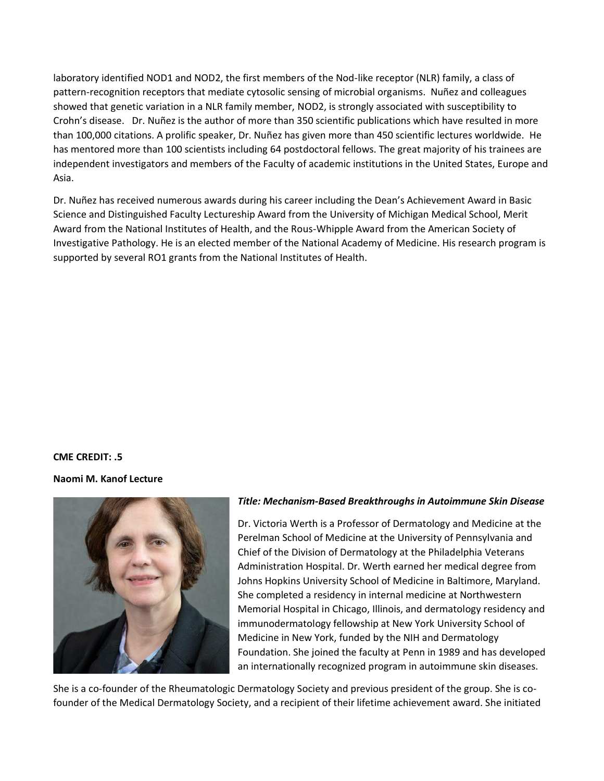laboratory identified NOD1 and NOD2, the first members of the Nod-like receptor (NLR) family, a class of pattern-recognition receptors that mediate cytosolic sensing of microbial organisms. Nuñez and colleagues showed that genetic variation in a NLR family member, NOD2, is strongly associated with susceptibility to Crohn's disease. Dr. Nuñez is the author of more than 350 scientific publications which have resulted in more than 100,000 citations. A prolific speaker, Dr. Nuñez has given more than 450 scientific lectures worldwide. He has mentored more than 100 scientists including 64 postdoctoral fellows. The great majority of his trainees are independent investigators and members of the Faculty of academic institutions in the United States, Europe and Asia.

Dr. Nuñez has received numerous awards during his career including the Dean's Achievement Award in Basic Science and Distinguished Faculty Lectureship Award from the University of Michigan Medical School, Merit Award from the National Institutes of Health, and the Rous-Whipple Award from the American Society of Investigative Pathology. He is an elected member of the National Academy of Medicine. His research program is supported by several RO1 grants from the National Institutes of Health.

### **CME CREDIT: .5**

### **Naomi M. Kanof Lecture**



### *Title: Mechanism-Based Breakthroughs in Autoimmune Skin Disease*

Dr. Victoria Werth is a Professor of Dermatology and Medicine at the Perelman School of Medicine at the University of Pennsylvania and Chief of the Division of Dermatology at the Philadelphia Veterans Administration Hospital. Dr. Werth earned her medical degree from Johns Hopkins University School of Medicine in Baltimore, Maryland. She completed a residency in internal medicine at Northwestern Memorial Hospital in Chicago, Illinois, and dermatology residency and immunodermatology fellowship at New York University School of Medicine in New York, funded by the NIH and Dermatology Foundation. She joined the faculty at Penn in 1989 and has developed an internationally recognized program in autoimmune skin diseases.

She is a co-founder of the Rheumatologic Dermatology Society and previous president of the group. She is cofounder of the Medical Dermatology Society, and a recipient of their lifetime achievement award. She initiated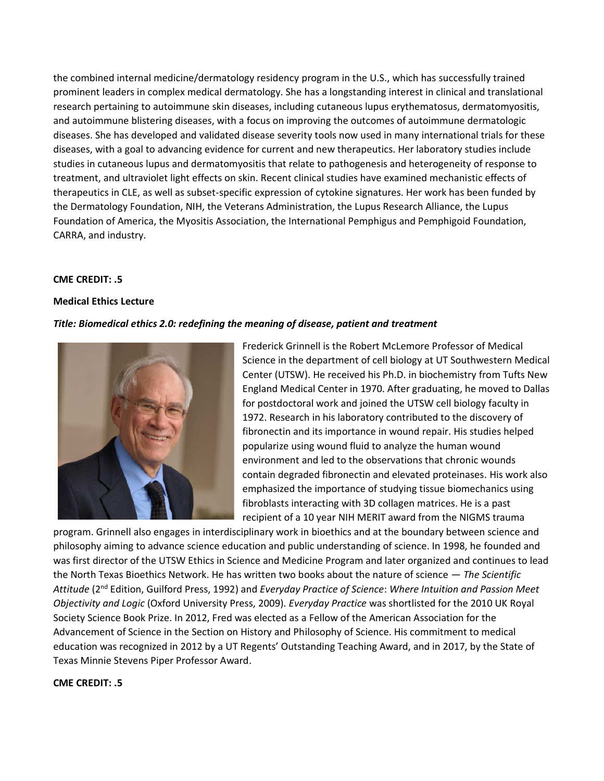the combined internal medicine/dermatology residency program in the U.S., which has successfully trained prominent leaders in complex medical dermatology. She has a longstanding interest in clinical and translational research pertaining to autoimmune skin diseases, including cutaneous lupus erythematosus, dermatomyositis, and autoimmune blistering diseases, with a focus on improving the outcomes of autoimmune dermatologic diseases. She has developed and validated disease severity tools now used in many international trials for these diseases, with a goal to advancing evidence for current and new therapeutics. Her laboratory studies include studies in cutaneous lupus and dermatomyositis that relate to pathogenesis and heterogeneity of response to treatment, and ultraviolet light effects on skin. Recent clinical studies have examined mechanistic effects of therapeutics in CLE, as well as subset-specific expression of cytokine signatures. Her work has been funded by the Dermatology Foundation, NIH, the Veterans Administration, the Lupus Research Alliance, the Lupus Foundation of America, the Myositis Association, the International Pemphigus and Pemphigoid Foundation, CARRA, and industry.

## **CME CREDIT: .5**

### **Medical Ethics Lecture**

### *Title: Biomedical ethics 2.0: redefining the meaning of disease, patient and treatment*



Frederick Grinnell is the Robert McLemore Professor of Medical Science in the department of cell biology at UT Southwestern Medical Center (UTSW). He received his Ph.D. in biochemistry from Tufts New England Medical Center in 1970. After graduating, he moved to Dallas for postdoctoral work and joined the UTSW cell biology faculty in 1972. Research in his laboratory contributed to the discovery of fibronectin and its importance in wound repair. His studies helped popularize using wound fluid to analyze the human wound environment and led to the observations that chronic wounds contain degraded fibronectin and elevated proteinases. His work also emphasized the importance of studying tissue biomechanics using fibroblasts interacting with 3D collagen matrices. He is a past recipient of a 10 year NIH MERIT award from the NIGMS trauma

program. Grinnell also engages in interdisciplinary work in bioethics and at the boundary between science and philosophy aiming to advance science education and public understanding of science. In 1998, he founded and was first director of the UTSW Ethics in Science and Medicine Program and later organized and continues to lead the North Texas Bioethics Network. He has written two books about the nature of science — *The Scientific Attitude* (2nd Edition, Guilford Press, 1992) and *Everyday Practice of Science*: *Where Intuition and Passion Meet Objectivity and Logic* (Oxford University Press, 2009). *Everyday Practice* was shortlisted for the 2010 UK Royal Society Science Book Prize. In 2012, Fred was elected as a Fellow of the American Association for the Advancement of Science in the Section on History and Philosophy of Science. His commitment to medical education was recognized in 2012 by a UT Regents' Outstanding Teaching Award, and in 2017, by the State of Texas Minnie Stevens Piper Professor Award.

### **CME CREDIT: .5**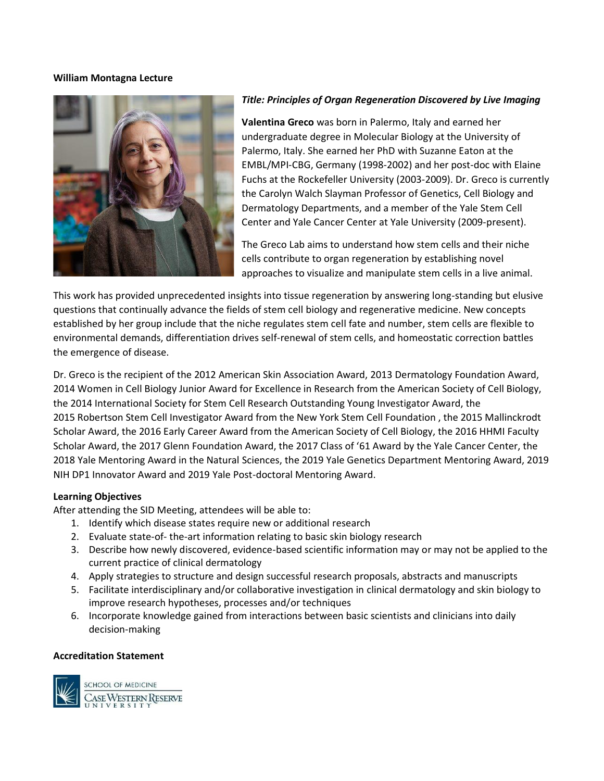### **William Montagna Lecture**



### *Title: Principles of Organ Regeneration Discovered by Live Imaging*

**Valentina Greco** was born in Palermo, Italy and earned her undergraduate degree in Molecular Biology at the University of Palermo, Italy. She earned her PhD with Suzanne Eaton at the EMBL/MPI-CBG, Germany (1998-2002) and her post-doc with Elaine Fuchs at the Rockefeller University (2003-2009). Dr. Greco is currently the Carolyn Walch Slayman Professor of Genetics, Cell Biology and Dermatology Departments, and a member of the Yale Stem Cell Center and Yale Cancer Center at Yale University (2009-present).

The Greco Lab aims to understand how stem cells and their niche cells contribute to organ regeneration by establishing novel approaches to visualize and manipulate stem cells in a live animal.

This work has provided unprecedented insights into tissue regeneration by answering long-standing but elusive questions that continually advance the fields of stem cell biology and regenerative medicine. New concepts established by her group include that the niche regulates stem cell fate and number, stem cells are flexible to environmental demands, differentiation drives self-renewal of stem cells, and homeostatic correction battles the emergence of disease.

Dr. Greco is the recipient of the 2012 American Skin Association Award, 2013 Dermatology Foundation Award, 2014 Women in Cell Biology Junior Award for Excellence in Research from the American Society of Cell Biology, the 2014 International Society for Stem Cell Research Outstanding Young Investigator Award, the 2015 Robertson Stem Cell Investigator Award from the New York Stem Cell Foundation , the 2015 Mallinckrodt Scholar Award, the 2016 Early Career Award from the American Society of Cell Biology, the 2016 HHMI Faculty Scholar Award, the 2017 Glenn Foundation Award, the 2017 Class of '61 Award by the Yale Cancer Center, the 2018 Yale Mentoring Award in the Natural Sciences, the 2019 Yale Genetics Department Mentoring Award, 2019 NIH DP1 Innovator Award and 2019 Yale Post-doctoral Mentoring Award.

### **Learning Objectives**

After attending the SID Meeting, attendees will be able to:

- 1. Identify which disease states require new or additional research
- 2. Evaluate state-of- the-art information relating to basic skin biology research
- 3. Describe how newly discovered, evidence-based scientific information may or may not be applied to the current practice of clinical dermatology
- 4. Apply strategies to structure and design successful research proposals, abstracts and manuscripts
- 5. Facilitate interdisciplinary and/or collaborative investigation in clinical dermatology and skin biology to improve research hypotheses, processes and/or techniques
- 6. Incorporate knowledge gained from interactions between basic scientists and clinicians into daily decision-making

### **Accreditation Statement**

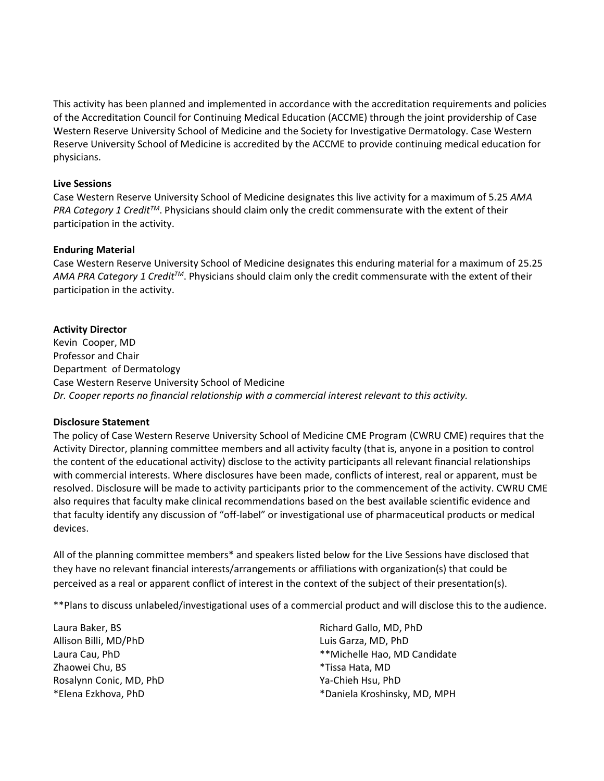This activity has been planned and implemented in accordance with the accreditation requirements and policies of the Accreditation Council for Continuing Medical Education (ACCME) through the joint providership of Case Western Reserve University School of Medicine and the Society for Investigative Dermatology. Case Western Reserve University School of Medicine is accredited by the ACCME to provide continuing medical education for physicians.

### **Live Sessions**

Case Western Reserve University School of Medicine designates this live activity for a maximum of 5.25 *AMA PRA Category 1 CreditTM*. Physicians should claim only the credit commensurate with the extent of their participation in the activity.

### **Enduring Material**

Case Western Reserve University School of Medicine designates this enduring material for a maximum of 25.25 *AMA PRA Category 1 CreditTM*. Physicians should claim only the credit commensurate with the extent of their participation in the activity.

## **Activity Director**

Kevin Cooper, MD Professor and Chair Department of Dermatology Case Western Reserve University School of Medicine *Dr. Cooper reports no financial relationship with a commercial interest relevant to this activity.*

## **Disclosure Statement**

The policy of Case Western Reserve University School of Medicine CME Program (CWRU CME) requires that the Activity Director, planning committee members and all activity faculty (that is, anyone in a position to control the content of the educational activity) disclose to the activity participants all relevant financial relationships with commercial interests. Where disclosures have been made, conflicts of interest, real or apparent, must be resolved. Disclosure will be made to activity participants prior to the commencement of the activity. CWRU CME also requires that faculty make clinical recommendations based on the best available scientific evidence and that faculty identify any discussion of "off-label" or investigational use of pharmaceutical products or medical devices.

All of the planning committee members\* and speakers listed below for the Live Sessions have disclosed that they have no relevant financial interests/arrangements or affiliations with organization(s) that could be perceived as a real or apparent conflict of interest in the context of the subject of their presentation(s).

\*\*Plans to discuss unlabeled/investigational uses of a commercial product and will disclose this to the audience.

Laura Baker, BS Allison Billi, MD/PhD Laura Cau, PhD Zhaowei Chu, BS Rosalynn Conic, MD, PhD \*Elena Ezkhova, PhD

Richard Gallo, MD, PhD Luis Garza, MD, PhD \*\*Michelle Hao, MD Candidate \*Tissa Hata, MD Ya-Chieh Hsu, PhD \*Daniela Kroshinsky, MD, MPH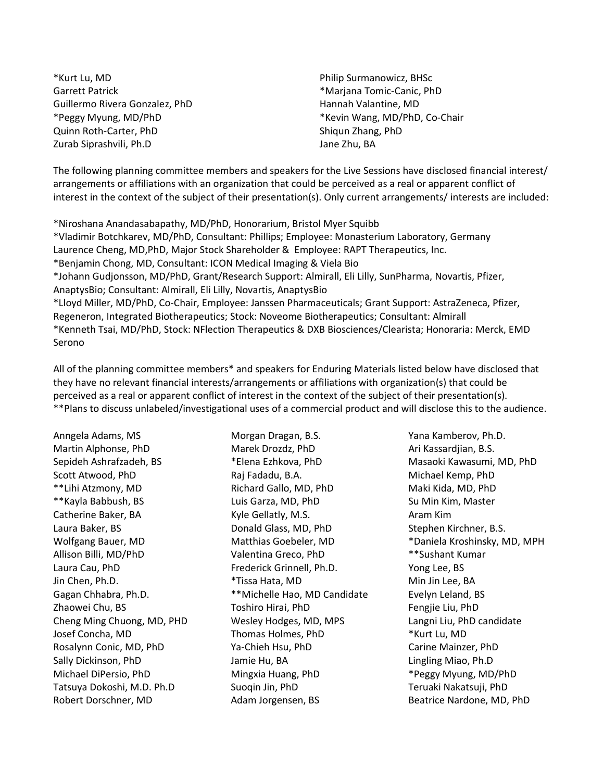\*Kurt Lu, MD Garrett Patrick Guillermo Rivera Gonzalez, PhD \*Peggy Myung, MD/PhD Quinn Roth-Carter, PhD Zurab Siprashvili, Ph.D

Philip Surmanowicz, BHSc \*Marjana Tomic-Canic, PhD Hannah Valantine, MD \*Kevin Wang, MD/PhD, Co-Chair Shiqun Zhang, PhD Jane Zhu, BA

The following planning committee members and speakers for the Live Sessions have disclosed financial interest/ arrangements or affiliations with an organization that could be perceived as a real or apparent conflict of interest in the context of the subject of their presentation(s). Only current arrangements/ interests are included:

\*Niroshana Anandasabapathy, MD/PhD, Honorarium, Bristol Myer Squibb

\*Vladimir Botchkarev, MD/PhD, Consultant: Phillips; Employee: Monasterium Laboratory, Germany Laurence Cheng, MD,PhD, Major Stock Shareholder & Employee: RAPT Therapeutics, Inc. \*Benjamin Chong, MD, Consultant: ICON Medical Imaging & Viela Bio \*Johann Gudjonsson, MD/PhD, Grant/Research Support: Almirall, Eli Lilly, SunPharma, Novartis, Pfizer, AnaptysBio; Consultant: Almirall, Eli Lilly, Novartis, AnaptysBio \*Lloyd Miller, MD/PhD, Co-Chair, Employee: Janssen Pharmaceuticals; Grant Support: AstraZeneca, Pfizer, Regeneron, Integrated Biotherapeutics; Stock: Noveome Biotherapeutics; Consultant: Almirall \*Kenneth Tsai, MD/PhD, Stock: NFlection Therapeutics & DXB Biosciences/Clearista; Honoraria: Merck, EMD Serono

All of the planning committee members\* and speakers for Enduring Materials listed below have disclosed that they have no relevant financial interests/arrangements or affiliations with organization(s) that could be perceived as a real or apparent conflict of interest in the context of the subject of their presentation(s). \*\*Plans to discuss unlabeled/investigational uses of a commercial product and will disclose this to the audience.

Anngela Adams, MS Martin Alphonse, PhD Sepideh Ashrafzadeh, BS Scott Atwood, PhD \*\*Lihi Atzmony, MD \*\*Kayla Babbush, BS Catherine Baker, BA Laura Baker, BS Wolfgang Bauer, MD Allison Billi, MD/PhD Laura Cau, PhD Jin Chen, Ph.D. Gagan Chhabra, Ph.D. Zhaowei Chu, BS Cheng Ming Chuong, MD, PHD Josef Concha, MD Rosalynn Conic, MD, PhD Sally Dickinson, PhD Michael DiPersio, PhD Tatsuya Dokoshi, M.D. Ph.D Robert Dorschner, MD

Morgan Dragan, B.S. Marek Drozdz, PhD \*Elena Ezhkova, PhD Raj Fadadu, B.A. Richard Gallo, MD, PhD Luis Garza, MD, PhD Kyle Gellatly, M.S. Donald Glass, MD, PhD Matthias Goebeler, MD Valentina Greco, PhD Frederick Grinnell, Ph.D. \*Tissa Hata, MD \*\*Michelle Hao, MD Candidate Toshiro Hirai, PhD Wesley Hodges, MD, MPS Thomas Holmes, PhD Ya-Chieh Hsu, PhD Jamie Hu, BA Mingxia Huang, PhD Suoqin Jin, PhD Adam Jorgensen, BS

Yana Kamberov, Ph.D. Ari Kassardjian, B.S. Masaoki Kawasumi, MD, PhD Michael Kemp, PhD Maki Kida, MD, PhD Su Min Kim, Master Aram Kim Stephen Kirchner, B.S. \*Daniela Kroshinsky, MD, MPH \*\*Sushant Kumar Yong Lee, BS Min Jin Lee, BA Evelyn Leland, BS Fengjie Liu, PhD Langni Liu, PhD candidate \*Kurt Lu, MD Carine Mainzer, PhD Lingling Miao, Ph.D \*Peggy Myung, MD/PhD Teruaki Nakatsuji, PhD Beatrice Nardone, MD, PhD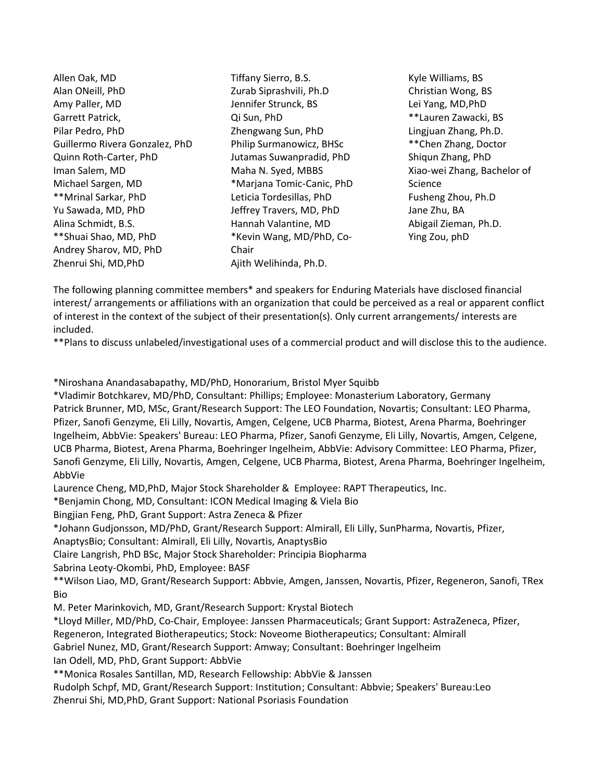Allen Oak, MD Alan ONeill, PhD Amy Paller, MD Garrett Patrick, Pilar Pedro, PhD Guillermo Rivera Gonzalez, PhD Quinn Roth-Carter, PhD Iman Salem, MD Michael Sargen, MD \*\*Mrinal Sarkar, PhD Yu Sawada, MD, PhD Alina Schmidt, B.S. \*\*Shuai Shao, MD, PhD Andrey Sharov, MD, PhD Zhenrui Shi, MD,PhD

Tiffany Sierro, B.S. Zurab Siprashvili, Ph.D Jennifer Strunck, BS Qi Sun, PhD Zhengwang Sun, PhD Philip Surmanowicz, BHSc Jutamas Suwanpradid, PhD Maha N. Syed, MBBS \*Marjana Tomic-Canic, PhD Leticia Tordesillas, PhD Jeffrey Travers, MD, PhD Hannah Valantine, MD \*Kevin Wang, MD/PhD, Co-Chair Ajith Welihinda, Ph.D.

Kyle Williams, BS Christian Wong, BS Lei Yang, MD,PhD \*\*Lauren Zawacki, BS Lingjuan Zhang, Ph.D. \*\*Chen Zhang, Doctor Shiqun Zhang, PhD Xiao-wei Zhang, Bachelor of Science Fusheng Zhou, Ph.D Jane Zhu, BA Abigail Zieman, Ph.D. Ying Zou, phD

The following planning committee members\* and speakers for Enduring Materials have disclosed financial interest/ arrangements or affiliations with an organization that could be perceived as a real or apparent conflict of interest in the context of the subject of their presentation(s). Only current arrangements/ interests are included.

\*\*Plans to discuss unlabeled/investigational uses of a commercial product and will disclose this to the audience.

\*Niroshana Anandasabapathy, MD/PhD, Honorarium, Bristol Myer Squibb

\*Vladimir Botchkarev, MD/PhD, Consultant: Phillips; Employee: Monasterium Laboratory, Germany Patrick Brunner, MD, MSc, Grant/Research Support: The LEO Foundation, Novartis; Consultant: LEO Pharma, Pfizer, Sanofi Genzyme, Eli Lilly, Novartis, Amgen, Celgene, UCB Pharma, Biotest, Arena Pharma, Boehringer Ingelheim, AbbVie: Speakers' Bureau: LEO Pharma, Pfizer, Sanofi Genzyme, Eli Lilly, Novartis, Amgen, Celgene, UCB Pharma, Biotest, Arena Pharma, Boehringer Ingelheim, AbbVie: Advisory Committee: LEO Pharma, Pfizer, Sanofi Genzyme, Eli Lilly, Novartis, Amgen, Celgene, UCB Pharma, Biotest, Arena Pharma, Boehringer Ingelheim, AbbVie

Laurence Cheng, MD,PhD, Major Stock Shareholder & Employee: RAPT Therapeutics, Inc.

\*Benjamin Chong, MD, Consultant: ICON Medical Imaging & Viela Bio

Bingjian Feng, PhD, Grant Support: Astra Zeneca & Pfizer

\*Johann Gudjonsson, MD/PhD, Grant/Research Support: Almirall, Eli Lilly, SunPharma, Novartis, Pfizer,

AnaptysBio; Consultant: Almirall, Eli Lilly, Novartis, AnaptysBio

Claire Langrish, PhD BSc, Major Stock Shareholder: Principia Biopharma

Sabrina Leoty-Okombi, PhD, Employee: BASF

\*\*Wilson Liao, MD, Grant/Research Support: Abbvie, Amgen, Janssen, Novartis, Pfizer, Regeneron, Sanofi, TRex Bio

M. Peter Marinkovich, MD, Grant/Research Support: Krystal Biotech

\*Lloyd Miller, MD/PhD, Co-Chair, Employee: Janssen Pharmaceuticals; Grant Support: AstraZeneca, Pfizer,

Regeneron, Integrated Biotherapeutics; Stock: Noveome Biotherapeutics; Consultant: Almirall

Gabriel Nunez, MD, Grant/Research Support: Amway; Consultant: Boehringer Ingelheim

Ian Odell, MD, PhD, Grant Support: AbbVie

\*\*Monica Rosales Santillan, MD, Research Fellowship: AbbVie & Janssen

Rudolph Schpf, MD, Grant/Research Support: Institution; Consultant: Abbvie; Speakers' Bureau:Leo Zhenrui Shi, MD,PhD, Grant Support: National Psoriasis Foundation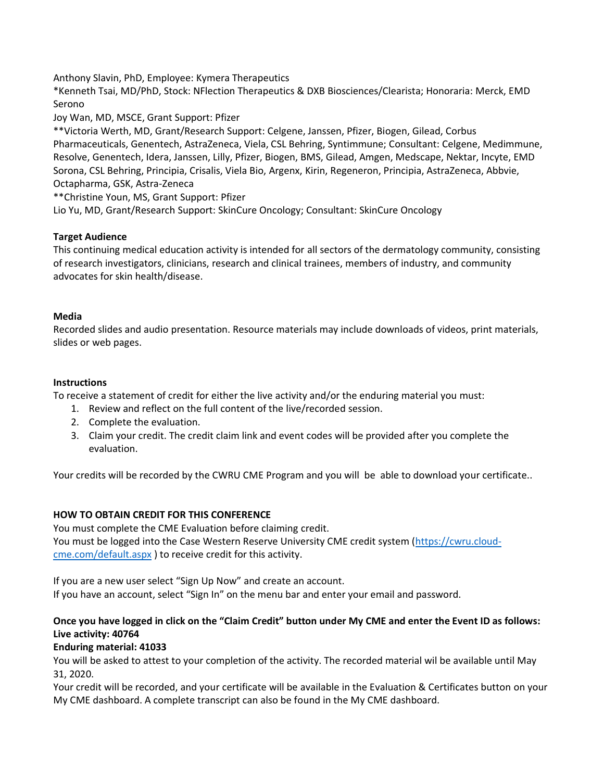Anthony Slavin, PhD, Employee: Kymera Therapeutics

\*Kenneth Tsai, MD/PhD, Stock: NFlection Therapeutics & DXB Biosciences/Clearista; Honoraria: Merck, EMD Serono

Joy Wan, MD, MSCE, Grant Support: Pfizer

\*\*Victoria Werth, MD, Grant/Research Support: Celgene, Janssen, Pfizer, Biogen, Gilead, Corbus Pharmaceuticals, Genentech, AstraZeneca, Viela, CSL Behring, Syntimmune; Consultant: Celgene, Medimmune, Resolve, Genentech, Idera, Janssen, Lilly, Pfizer, Biogen, BMS, Gilead, Amgen, Medscape, Nektar, Incyte, EMD Sorona, CSL Behring, Principia, Crisalis, Viela Bio, Argenx, Kirin, Regeneron, Principia, AstraZeneca, Abbvie, Octapharma, GSK, Astra-Zeneca

\*\*Christine Youn, MS, Grant Support: Pfizer

Lio Yu, MD, Grant/Research Support: SkinCure Oncology; Consultant: SkinCure Oncology

## **Target Audience**

This continuing medical education activity is intended for all sectors of the dermatology community, consisting of research investigators, clinicians, research and clinical trainees, members of industry, and community advocates for skin health/disease.

## **Media**

Recorded slides and audio presentation. Resource materials may include downloads of videos, print materials, slides or web pages.

## **Instructions**

To receive a statement of credit for either the live activity and/or the enduring material you must:

- 1. Review and reflect on the full content of the live/recorded session.
- 2. Complete the evaluation.
- 3. Claim your credit. The credit claim link and event codes will be provided after you complete the evaluation.

Your credits will be recorded by the CWRU CME Program and you will be able to download your certificate..

# **HOW TO OBTAIN CREDIT FOR THIS CONFERENCE**

You must complete the CME Evaluation before claiming credit. You must be logged into the Case Western Reserve University CME credit system [\(https://cwru.cloud](https://cwru.cloud-cme.com/default.aspx)[cme.com/default.aspx](https://cwru.cloud-cme.com/default.aspx) ) to receive credit for this activity.

If you are a new user select "Sign Up Now" and create an account. If you have an account, select "Sign In" on the menu bar and enter your email and password.

# **Once you have logged in click on the "Claim Credit" button under My CME and enter the Event ID as follows: Live activity: 40764**

## **Enduring material: 41033**

You will be asked to attest to your completion of the activity. The recorded material wil be available until May 31, 2020.

Your credit will be recorded, and your certificate will be available in the Evaluation & Certificates button on your My CME dashboard. A complete transcript can also be found in the My CME dashboard.